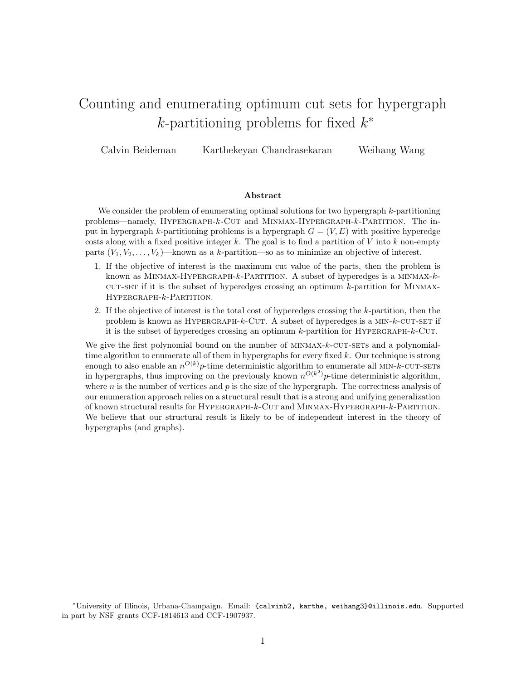# Counting and enumerating optimum cut sets for hypergraph  $k$ -partitioning problems for fixed  $k^*$

Calvin Beideman Karthekeyan Chandrasekaran Weihang Wang

#### Abstract

We consider the problem of enumerating optimal solutions for two hypergraph k-partitioning problems—namely, HYPERGRAPH-k-CUT and MINMAX-HYPERGRAPH-k-PARTITION. The input in hypergraph k-partitioning problems is a hypergraph  $G = (V, E)$  with positive hyperedge costs along with a fixed positive integer k. The goal is to find a partition of V into k non-empty parts  $(V_1, V_2, \ldots, V_k)$ —known as a k-partition—so as to minimize an objective of interest.

- 1. If the objective of interest is the maximum cut value of the parts, then the problem is known as MINMAX-HYPERGRAPH- $k$ -PARTITION. A subset of hyperedges is a MINMAX- $k$ - $CUT-SET$  if it is the subset of hyperedges crossing an optimum k-partition for MINMAX-HYPERGRAPH-k-PARTITION.
- 2. If the objective of interest is the total cost of hyperedges crossing the k-partition, then the problem is known as  $HYPERGRAPH-k-CUT$ . A subset of hyperedges is a  $MIN-k-CUT-SET$  if it is the subset of hyperedges crossing an optimum  $k$ -partition for HYPERGRAPH- $k$ -CUT.

We give the first polynomial bound on the number of MINMAX-k-CUT-SETs and a polynomialtime algorithm to enumerate all of them in hypergraphs for every fixed k. Our technique is strong enough to also enable an  $n^{O(k)}p$ -time deterministic algorithm to enumerate all MIN-k-CUT-SETs in hypergraphs, thus improving on the previously known  $n^{O(k^2)}p$ -time deterministic algorithm, where n is the number of vertices and  $p$  is the size of the hypergraph. The correctness analysis of our enumeration approach relies on a structural result that is a strong and unifying generalization of known structural results for Hypergraph-k-Cut and Minmax-Hypergraph-k-Partition. We believe that our structural result is likely to be of independent interest in the theory of hypergraphs (and graphs).

<sup>∗</sup>University of Illinois, Urbana-Champaign. Email: {calvinb2, karthe, weihang3}@illinois.edu. Supported in part by NSF grants CCF-1814613 and CCF-1907937.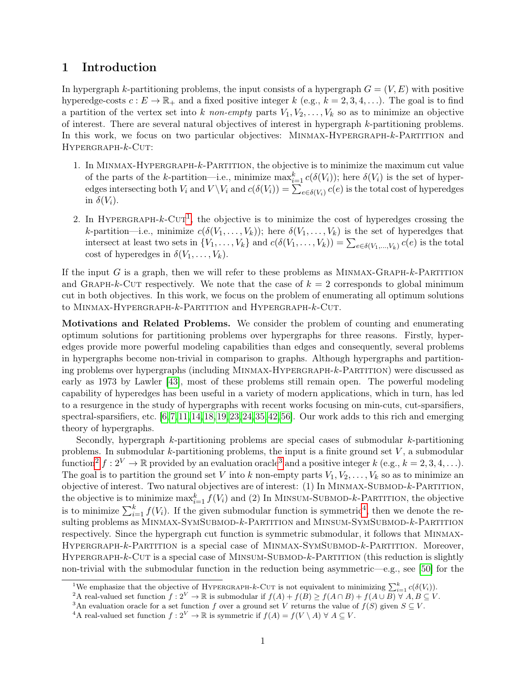# 1 Introduction

In hypergraph k-partitioning problems, the input consists of a hypergraph  $G = (V, E)$  with positive hyperedge-costs  $c: E \to \mathbb{R}_+$  and a fixed positive integer k (e.g.,  $k = 2, 3, 4, \ldots$ ). The goal is to find a partition of the vertex set into k non-empty parts  $V_1, V_2, \ldots, V_k$  so as to minimize an objective of interest. There are several natural objectives of interest in hypergraph k-partitioning problems. In this work, we focus on two particular objectives: MINMAX-HYPERGRAPH-k-PARTITION and HYPERGRAPH- $k$ -CUT:

- 1. In Minmax-Hypergraph-k-Partition, the objective is to minimize the maximum cut value of the parts of the k-partition—i.e., minimize  $\max_{i=1}^k c(\delta(V_i))$ ; here  $\delta(V_i)$  is the set of hyperedges intersecting both  $V_i$  and  $V \setminus V_i$  and  $c(\delta(V_i)) = \sum_{e \in \delta(V_i)} c(e)$  is the total cost of hyperedges in  $\delta(V_i)$ .
- 2. In HYPERGRAPH- $k$ -CUT<sup>[1](#page-1-0)</sup>, the objective is to minimize the cost of hyperedges crossing the k-partition—i.e., minimize  $c(\delta(V_1,\ldots,V_k))$ ; here  $\delta(V_1,\ldots,V_k)$  is the set of hyperedges that intersect at least two sets in  $\{V_1, \ldots, V_k\}$  and  $c(\delta(V_1, \ldots, V_k)) = \sum_{e \in \delta(V_1, \ldots, V_k)} c(e)$  is the total cost of hyperedges in  $\delta(V_1,\ldots,V_k)$ .

If the input G is a graph, then we will refer to these problems as  $MINMAX-GRAPH-k-PARTITION$ and GRAPH-k-CUT respectively. We note that the case of  $k = 2$  corresponds to global minimum cut in both objectives. In this work, we focus on the problem of enumerating all optimum solutions to MINMAX-HYPERGRAPH-k-PARTITION and HYPERGRAPH-k-CUT.

Motivations and Related Problems. We consider the problem of counting and enumerating optimum solutions for partitioning problems over hypergraphs for three reasons. Firstly, hyperedges provide more powerful modeling capabilities than edges and consequently, several problems in hypergraphs become non-trivial in comparison to graphs. Although hypergraphs and partitioning problems over hypergraphs (including Minmax-Hypergraph-k-Partition) were discussed as early as 1973 by Lawler [\[43\]](#page-26-0), most of these problems still remain open. The powerful modeling capability of hyperedges has been useful in a variety of modern applications, which in turn, has led to a resurgence in the study of hypergraphs with recent works focusing on min-cuts, cut-sparsifiers, spectral-sparsifiers, etc.  $[6,7,11,14,18,19,23,24,35,42,56]$  $[6,7,11,14,18,19,23,24,35,42,56]$  $[6,7,11,14,18,19,23,24,35,42,56]$  $[6,7,11,14,18,19,23,24,35,42,56]$  $[6,7,11,14,18,19,23,24,35,42,56]$  $[6,7,11,14,18,19,23,24,35,42,56]$  $[6,7,11,14,18,19,23,24,35,42,56]$  $[6,7,11,14,18,19,23,24,35,42,56]$  $[6,7,11,14,18,19,23,24,35,42,56]$  $[6,7,11,14,18,19,23,24,35,42,56]$  $[6,7,11,14,18,19,23,24,35,42,56]$ . Our work adds to this rich and emerging theory of hypergraphs.

Secondly, hypergraph k-partitioning problems are special cases of submodular k-partitioning problems. In submodular  $k$ -partitioning problems, the input is a finite ground set  $V$ , a submodular function<sup>[2](#page-1-1)</sup>  $f: 2^V \to \mathbb{R}$  provided by an evaluation oracle<sup>[3](#page-1-2)</sup> and a positive integer k (e.g.,  $k = 2, 3, 4, \ldots$ ). The goal is to partition the ground set V into k non-empty parts  $V_1, V_2, \ldots, V_k$  so as to minimize an objective of interest. Two natural objectives are of interest: (1) In Minmax-Submod-k-Partition, the objective is to minimize  $\max_{i=1}^k f(V_i)$  and (2) In MINSUM-SUBMOD-k-PARTITION, the objective is to minimize  $\sum_{i=1}^{k} f(V_i)$ . If the given submodular function is symmetric<sup>[4](#page-1-3)</sup>, then we denote the resulting problems as MINMAX-SYMSUBMOD-k-PARTITION and MINSUM-SYMSUBMOD-k-PARTITION respectively. Since the hypergraph cut function is symmetric submodular, it follows that Minmax-HYPERGRAPH-k-PARTITION is a special case of MINMAX-SYMSUBMOD-k-PARTITION. Moreover, HYPERGRAPH-k-CUT is a special case of MINSUM-SUBMOD-k-PARTITION (this reduction is slightly non-trivial with the submodular function in the reduction being asymmetric—e.g., see [\[50\]](#page-27-1) for the

<span id="page-1-0"></span><sup>&</sup>lt;sup>1</sup>We emphasize that the objective of HYPERGRAPH-k-CUT is not equivalent to minimizing  $\sum_{i=1}^{k} c(\delta(V_i))$ .

<span id="page-1-1"></span><sup>&</sup>lt;sup>2</sup>A real-valued set function  $f: 2^V \to \mathbb{R}$  is submodular if  $f(A) + f(B) \ge f(A \cap B) + f(A \cup B) \forall A, B \subseteq V$ .

<span id="page-1-2"></span><sup>&</sup>lt;sup>3</sup>An evaluation oracle for a set function f over a ground set V returns the value of  $f(S)$  given  $S \subseteq V$ .

<span id="page-1-3"></span><sup>&</sup>lt;sup>4</sup>A real-valued set function  $f: 2^V \to \mathbb{R}$  is symmetric if  $f(A) = f(V \setminus A)$   $\forall A \subseteq V$ .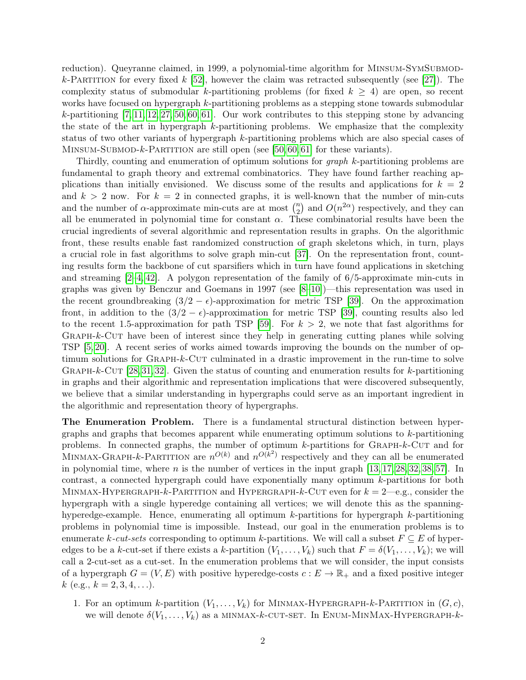reduction). Queyranne claimed, in 1999, a polynomial-time algorithm for MINSUM-SYMSUBMOD-k-PARTITION for every fixed k [\[52\]](#page-27-2), however the claim was retracted subsequently (see [\[27\]](#page-25-5)). The complexity status of submodular k-partitioning problems (for fixed  $k \geq 4$ ) are open, so recent works have focused on hypergraph k-partitioning problems as a stepping stone towards submodular k-partitioning  $[7, 11, 12, 27, 50, 60, 61]$  $[7, 11, 12, 27, 50, 60, 61]$  $[7, 11, 12, 27, 50, 60, 61]$  $[7, 11, 12, 27, 50, 60, 61]$  $[7, 11, 12, 27, 50, 60, 61]$  $[7, 11, 12, 27, 50, 60, 61]$  $[7, 11, 12, 27, 50, 60, 61]$ . Our work contributes to this stepping stone by advancing the state of the art in hypergraph k-partitioning problems. We emphasize that the complexity status of two other variants of hypergraph k-partitioning problems which are also special cases of MINSUM-SUBMOD-k-PARTITION are still open (see [\[50,](#page-27-1) [60,](#page-27-3) [61\]](#page-27-4) for these variants).

Thirdly, counting and enumeration of optimum solutions for graph k-partitioning problems are fundamental to graph theory and extremal combinatorics. They have found farther reaching applications than initially envisioned. We discuss some of the results and applications for  $k = 2$ and  $k > 2$  now. For  $k = 2$  in connected graphs, it is well-known that the number of min-cuts and the number of  $\alpha$ -approximate min-cuts are at most  $\binom{n}{2}$  $\binom{n}{2}$  and  $O(n^{2\alpha})$  respectively, and they can all be enumerated in polynomial time for constant  $\alpha$ . These combinatorial results have been the crucial ingredients of several algorithmic and representation results in graphs. On the algorithmic front, these results enable fast randomized construction of graph skeletons which, in turn, plays a crucial role in fast algorithms to solve graph min-cut [\[37\]](#page-26-3). On the representation front, counting results form the backbone of cut sparsifiers which in turn have found applications in sketching and streaming  $[2-4, 42]$  $[2-4, 42]$  $[2-4, 42]$ . A polygon representation of the family of 6/5-approximate min-cuts in graphs was given by Benczur and Goemans in 1997 (see [\[8–](#page-24-6)[10\]](#page-24-7))—this representation was used in the recent groundbreaking  $(3/2 - \epsilon)$ -approximation for metric TSP [\[39\]](#page-26-4). On the approximation front, in addition to the  $(3/2 - \epsilon)$ -approximation for metric TSP [\[39\]](#page-26-4), counting results also led to the recent 1.5-approximation for path TSP [\[59\]](#page-27-5). For  $k > 2$ , we note that fast algorithms for GRAPH-k-CUT have been of interest since they help in generating cutting planes while solving TSP [\[5,](#page-24-8) [20\]](#page-25-6). A recent series of works aimed towards improving the bounds on the number of optimum solutions for GRAPH-k-CUT culminated in a drastic improvement in the run-time to solve GRAPH-k-CUT  $[28,31,32]$  $[28,31,32]$  $[28,31,32]$ . Given the status of counting and enumeration results for k-partitioning in graphs and their algorithmic and representation implications that were discovered subsequently, we believe that a similar understanding in hypergraphs could serve as an important ingredient in the algorithmic and representation theory of hypergraphs.

The Enumeration Problem. There is a fundamental structural distinction between hypergraphs and graphs that becomes apparent while enumerating optimum solutions to k-partitioning problems. In connected graphs, the number of optimum k-partitions for Graph-k-Cut and for MINMAX-GRAPH-k-PARTITION are  $n^{O(k)}$  and  $n^{O(k^2)}$  respectively and they can all be enumerated in polynomial time, where  $n$  is the number of vertices in the input graph  $[13, 17, 28, 32, 38, 57]$  $[13, 17, 28, 32, 38, 57]$  $[13, 17, 28, 32, 38, 57]$  $[13, 17, 28, 32, 38, 57]$  $[13, 17, 28, 32, 38, 57]$  $[13, 17, 28, 32, 38, 57]$ . In contrast, a connected hypergraph could have exponentially many optimum k-partitions for both MINMAX-HYPERGRAPH-k-PARTITION and HYPERGRAPH-k-CUT even for  $k = 2$ —e.g., consider the hypergraph with a single hyperedge containing all vertices; we will denote this as the spanninghyperedge-example. Hence, enumerating all optimum k-partitions for hypergraph k-partitioning problems in polynomial time is impossible. Instead, our goal in the enumeration problems is to enumerate k-cut-sets corresponding to optimum k-partitions. We will call a subset  $F \subseteq E$  of hyperedges to be a k-cut-set if there exists a k-partition  $(V_1, \ldots, V_k)$  such that  $F = \delta(V_1, \ldots, V_k)$ ; we will call a 2-cut-set as a cut-set. In the enumeration problems that we will consider, the input consists of a hypergraph  $G = (V, E)$  with positive hyperedge-costs  $c : E \to \mathbb{R}_+$  and a fixed positive integer  $k$  (e.g.,  $k = 2, 3, 4, \ldots$ ).

1. For an optimum k-partition  $(V_1, \ldots, V_k)$  for MINMAX-HYPERGRAPH-k-PARTITION in  $(G, c)$ , we will denote  $\delta(V_1,\ldots,V_k)$  as a MINMAX-k-CUT-SET. In ENUM-MINMAX-HYPERGRAPH-k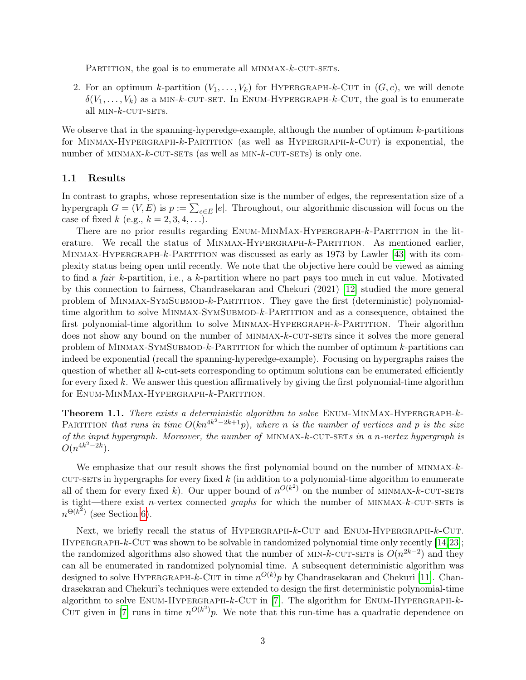PARTITION, the goal is to enumerate all MINMAX- $k$ -CUT-SETS.

2. For an optimum k-partition  $(V_1, \ldots, V_k)$  for HYPERGRAPH-k-CUT in  $(G, c)$ , we will denote  $\delta(V_1,\ldots,V_k)$  as a MIN-k-CUT-SET. In ENUM-HYPERGRAPH-k-CUT, the goal is to enumerate all  $MIN-k$ -CUT-SETS.

We observe that in the spanning-hyperedge-example, although the number of optimum k-partitions for MINMAX-HYPERGRAPH- $k$ -PARTITION (as well as HYPERGRAPH- $k$ -CUT) is exponential, the number of  $MINMAX-k-CUT-SETS$  (as well as  $MIN-k-CUT-SETS$ ) is only one.

#### 1.1 Results

In contrast to graphs, whose representation size is the number of edges, the representation size of a hypergraph  $G = (V, E)$  is  $p := \sum_{e \in E} |e|$ . Throughout, our algorithmic discussion will focus on the case of fixed k (e.g.,  $k = 2, 3, 4, ...$ ).

There are no prior results regarding ENUM-MINMAX-HYPERGRAPH-k-PARTITION in the literature. We recall the status of MINMAX-HYPERGRAPH-k-PARTITION. As mentioned earlier, Minmax-Hypergraph-k-Partition was discussed as early as 1973 by Lawler [\[43\]](#page-26-0) with its complexity status being open until recently. We note that the objective here could be viewed as aiming to find a fair k-partition, i.e., a k-partition where no part pays too much in cut value. Motivated by this connection to fairness, Chandrasekaran and Chekuri (2021) [\[12\]](#page-24-3) studied the more general problem of Minmax-SymSubmod-k-Partition. They gave the first (deterministic) polynomialtime algorithm to solve MINMAX-SYMSUBMOD- $k$ -PARTITION and as a consequence, obtained the first polynomial-time algorithm to solve MINMAX-HYPERGRAPH-k-PARTITION. Their algorithm does not show any bound on the number of MINMAX-k-CUT-SETs since it solves the more general problem of MINMAX-SYMSUBMOD- $k$ -PARTITION for which the number of optimum  $k$ -partitions can indeed be exponential (recall the spanning-hyperedge-example). Focusing on hypergraphs raises the question of whether all k-cut-sets corresponding to optimum solutions can be enumerated efficiently for every fixed k. We answer this question affirmatively by giving the first polynomial-time algorithm for Enum-MinMax-Hypergraph-k-Partition.

<span id="page-3-0"></span>Theorem 1.1. There exists a deterministic algorithm to solve ENUM-MINMAX-HYPERGRAPH-k-PARTITION that runs in time  $O(kn^{4k^2-2k+1}p)$ , where n is the number of vertices and p is the size of the input hypergraph. Moreover, the number of MINMAX- $k$ -CUT-SETs in a n-vertex hypergraph is  $O(n^{4k^2-2k}).$ 

We emphasize that our result shows the first polynomial bound on the number of  $MINMAX-k$ - $\text{cut-sers}$  in hypergraphs for every fixed k (in addition to a polynomial-time algorithm to enumerate all of them for every fixed k). Our upper bound of  $n^{O(k^2)}$  on the number of MINMAX-k-CUT-SETs is tight—there exist *n*-vertex connected *graphs* for which the number of MINMAX- $k$ -CUT-SETs is  $n^{\Theta(k^2)}$  (see Section [6\)](#page-22-0).

Next, we briefly recall the status of HYPERGRAPH-k-CUT and ENUM-HYPERGRAPH-k-CUT. HYPERGRAPH- $k$ -CUT was shown to be solvable in randomized polynomial time only recently  $[14,23]$  $[14,23]$ ; the randomized algorithms also showed that the number of MIN-k-CUT-SETs is  $O(n^{2k-2})$  and they can all be enumerated in randomized polynomial time. A subsequent deterministic algorithm was designed to solve HYPERGRAPH- $k$ -CUT in time  $n^{O(k)}p$  by Chandrasekaran and Chekuri [\[11\]](#page-24-2). Chandrasekaran and Chekuri's techniques were extended to design the first deterministic polynomial-time algorithm to solve ENUM-HYPERGRAPH- $k$ -CUT in [\[7\]](#page-24-1). The algorithm for ENUM-HYPERGRAPH- $k$ -CUT given in [\[7\]](#page-24-1) runs in time  $n^{O(k^2)}p$ . We note that this run-time has a quadratic dependence on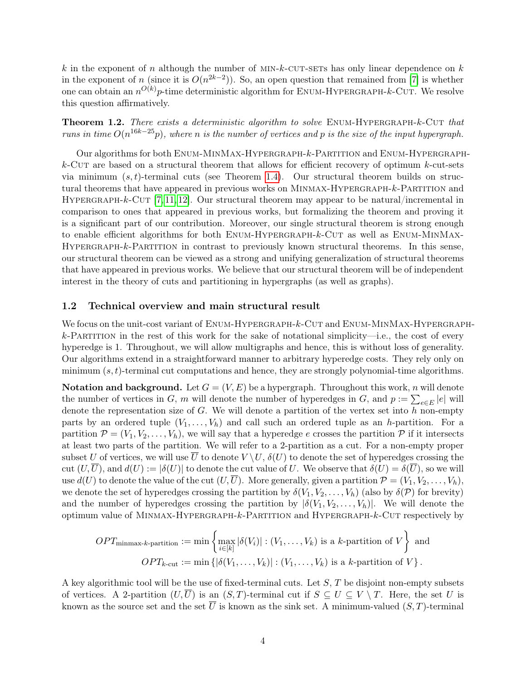k in the exponent of n although the number of  $MIN-k$ -CUT-SETs has only linear dependence on k in the exponent of n (since it is  $O(n^{2k-2})$ ). So, an open question that remained from [\[7\]](#page-24-1) is whether one can obtain an  $n^{O(k)}p$ -time deterministic algorithm for ENUM-HYPERGRAPH- $k$ -CUT. We resolve this question affirmatively.

<span id="page-4-0"></span>Theorem 1.2. There exists a deterministic algorithm to solve ENUM-HYPERGRAPH-k-CUT that runs in time  $O(n^{16k-25}p)$ , where n is the number of vertices and p is the size of the input hypergraph.

Our algorithms for both Enum-MinMax-Hypergraph-k-Partition and Enum-Hypergraph $k$ -Cut are based on a structural theorem that allows for efficient recovery of optimum  $k$ -cut-sets via minimum  $(s, t)$ -terminal cuts (see Theorem [1.4\)](#page-5-0). Our structural theorem builds on structural theorems that have appeared in previous works on MINMAX-HYPERGRAPH-k-PARTITION and HYPERGRAPH-k-CUT  $[7, 11, 12]$  $[7, 11, 12]$  $[7, 11, 12]$ . Our structural theorem may appear to be natural/incremental in comparison to ones that appeared in previous works, but formalizing the theorem and proving it is a significant part of our contribution. Moreover, our single structural theorem is strong enough to enable efficient algorithms for both ENUM-HYPERGRAPH-k-CUT as well as ENUM-MINMAX-HYPERGRAPH-k-PARTITION in contrast to previously known structural theorems. In this sense, our structural theorem can be viewed as a strong and unifying generalization of structural theorems that have appeared in previous works. We believe that our structural theorem will be of independent interest in the theory of cuts and partitioning in hypergraphs (as well as graphs).

### <span id="page-4-1"></span>1.2 Technical overview and main structural result

We focus on the unit-cost variant of ENUM-HYPERGRAPH- $k$ -CUT and ENUM-MINMAX-HYPERGRAPH $k$ -PARTITION in the rest of this work for the sake of notational simplicity—i.e., the cost of every hyperedge is 1. Throughout, we will allow multigraphs and hence, this is without loss of generality. Our algorithms extend in a straightforward manner to arbitrary hyperedge costs. They rely only on minimum  $(s, t)$ -terminal cut computations and hence, they are strongly polynomial-time algorithms.

**Notation and background.** Let  $G = (V, E)$  be a hypergraph. Throughout this work, n will denote the number of vertices in G, m will denote the number of hyperedges in G, and  $p := \sum_{e \in E} |e|$  will denote the representation size of  $G$ . We will denote a partition of the vertex set into  $h$  non-empty parts by an ordered tuple  $(V_1, \ldots, V_h)$  and call such an ordered tuple as an h-partition. For a partition  $\mathcal{P} = (V_1, V_2, \ldots, V_h)$ , we will say that a hyperedge e crosses the partition  $\mathcal{P}$  if it intersects at least two parts of the partition. We will refer to a 2-partition as a cut. For a non-empty proper subset U of vertices, we will use  $\overline{U}$  to denote  $V \setminus U$ ,  $\delta(U)$  to denote the set of hyperedges crossing the cut  $(U,\overline{U})$ , and  $d(U) := |\delta(U)|$  to denote the cut value of U. We observe that  $\delta(U) = \delta(\overline{U})$ , so we will use  $d(U)$  to denote the value of the cut  $(U,\overline{U})$ . More generally, given a partition  $\mathcal{P} = (V_1, V_2, \ldots, V_h)$ , we denote the set of hyperedges crossing the partition by  $\delta(V_1, V_2, \ldots, V_h)$  (also by  $\delta(\mathcal{P})$  for brevity) and the number of hyperedges crossing the partition by  $|\delta(V_1, V_2, \ldots, V_h)|$ . We will denote the optimum value of Minmax-Hypergraph-k-Partition and Hypergraph-k-Cut respectively by

$$
OPT_{\text{minmax-}k\text{-partition}} := \min\left\{\max_{i\in[k]} |\delta(V_i)| : (V_1,\ldots,V_k) \text{ is a } k\text{-partition of } V\right\} \text{ and}
$$

$$
OPT_{k\text{-cut}} := \min\left\{ |\delta(V_1,\ldots,V_k)| : (V_1,\ldots,V_k) \text{ is a } k\text{-partition of } V \right\}.
$$

A key algorithmic tool will be the use of fixed-terminal cuts. Let  $S$ ,  $T$  be disjoint non-empty subsets of vertices. A 2-partition  $(U,\overline{U})$  is an  $(S,T)$ -terminal cut if  $S \subseteq U \subseteq V \setminus T$ . Here, the set U is known as the source set and the set  $\overline{U}$  is known as the sink set. A minimum-valued  $(S, T)$ -terminal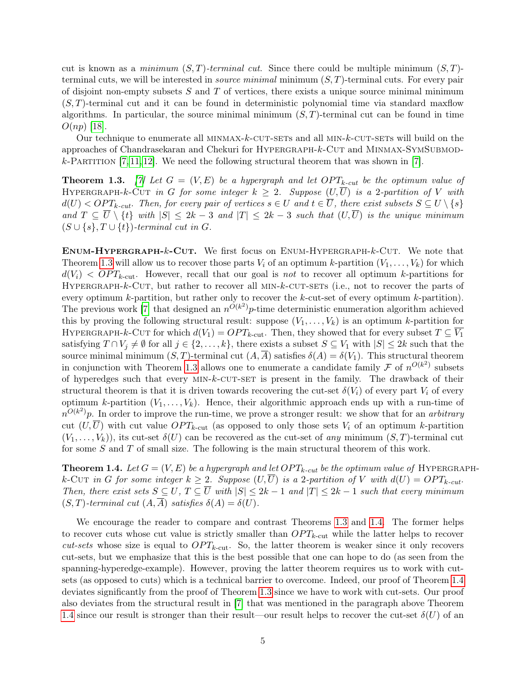cut is known as a *minimum*  $(S, T)$ -terminal cut. Since there could be multiple minimum  $(S, T)$ terminal cuts, we will be interested in *source minimal* minimum  $(S, T)$ -terminal cuts. For every pair of disjoint non-empty subsets  $S$  and  $T$  of vertices, there exists a unique source minimal minimum  $(S, T)$ -terminal cut and it can be found in deterministic polynomial time via standard maxilow algorithms. In particular, the source minimal minimum  $(S, T)$ -terminal cut can be found in time  $O(np)$  [\[18\]](#page-25-1).

Our technique to enumerate all MINMAX- $k$ -CUT-SETs and all MIN- $k$ -CUT-SETs will build on the approaches of Chandrasekaran and Chekuri for HYPERGRAPH-k-CUT and MINMAX-SYMSUBMOD $k$ -Partition [\[7,](#page-24-1) [11,](#page-24-2) [12\]](#page-24-3). We need the following structural theorem that was shown in [\[7\]](#page-24-1).

<span id="page-5-1"></span>**Theorem 1.3.** [\[7\]](#page-24-1) Let  $G = (V, E)$  be a hypergraph and let  $OPT_{k-cut}$  be the optimum value of HYPERGRAPH-k-CUT in G for some integer  $k \geq 2$ . Suppose  $(U,\overline{U})$  is a 2-partition of V with  $d(U) < OPT_{k-cut}$ . Then, for every pair of vertices  $s \in U$  and  $t \in \overline{U}$ , there exist subsets  $S \subseteq U \setminus \{s\}$ and  $T \subseteq \overline{U} \setminus \{t\}$  with  $|S| \leq 2k - 3$  and  $|T| \leq 2k - 3$  such that  $(U,\overline{U})$  is the unique minimum  $(S \cup \{s\}, T \cup \{t\})$ -terminal cut in G.

Enum-Hypergraph-k-Cut. We first focus on Enum-Hypergraph-k-Cut. We note that Theorem [1.3](#page-5-1) will allow us to recover those parts  $V_i$  of an optimum k-partition  $(V_1, \ldots, V_k)$  for which  $d(V_i) < OPT_{k\text{-cut}}$ . However, recall that our goal is not to recover all optimum k-partitions for HYPERGRAPH- $k$ -CUT, but rather to recover all  $MIN-k$ -CUT-SETs (i.e., not to recover the parts of every optimum k-partition, but rather only to recover the k-cut-set of every optimum k-partition). The previous work [\[7\]](#page-24-1) that designed an  $n^{O(k^2)}p$ -time deterministic enumeration algorithm achieved this by proving the following structural result: suppose  $(V_1, \ldots, V_k)$  is an optimum k-partition for HYPERGRAPH-k-CUT for which  $d(V_1) = OPT_{k\text{-cut}}$ . Then, they showed that for every subset  $T \subseteq V_1$ satisfying  $T \cap V_j \neq \emptyset$  for all  $j \in \{2, ..., k\}$ , there exists a subset  $S \subseteq V_1$  with  $|S| \leq 2k$  such that the source minimal minimum  $(S, T)$ -terminal cut  $(A, \overline{A})$  satisfies  $\delta(A) = \delta(V_1)$ . This structural theorem in conjunction with Theorem [1.3](#page-5-1) allows one to enumerate a candidate family  $\mathcal F$  of  $n^{O(k^2)}$  subsets of hyperedges such that every  $MIN-k$ -CUT-SET is present in the family. The drawback of their structural theorem is that it is driven towards recovering the cut-set  $\delta(V_i)$  of every part  $V_i$  of every optimum k-partition  $(V_1, \ldots, V_k)$ . Hence, their algorithmic approach ends up with a run-time of  $n^{O(k^2)}p$ . In order to improve the run-time, we prove a stronger result: we show that for an *arbitrary* cut  $(U,\overline{U})$  with cut value  $OPT_{k\text{-cut}}$  (as opposed to only those sets  $V_i$  of an optimum k-partition  $(V_1, \ldots, V_k)$ , its cut-set  $\delta(U)$  can be recovered as the cut-set of any minimum  $(S, T)$ -terminal cut for some S and T of small size. The following is the main structural theorem of this work.

<span id="page-5-0"></span>**Theorem 1.4.** Let  $G = (V, E)$  be a hypergraph and let  $OPT_{k-cut}$  be the optimum value of HYPERGRAPHk-Cut in G for some integer  $k \geq 2$ . Suppose  $(U,\overline{U})$  is a 2-partition of V with  $d(U) = OPT_{k-cut}$ . Then, there exist sets  $S \subseteq U$ ,  $T \subseteq \overline{U}$  with  $|S| \leq 2k - 1$  and  $|T| \leq 2k - 1$  such that every minimum  $(S, T)$ -terminal cut  $(A, \overline{A})$  satisfies  $\delta(A) = \delta(U)$ .

We encourage the reader to compare and contrast Theorems [1.3](#page-5-1) and [1.4.](#page-5-0) The former helps to recover cuts whose cut value is strictly smaller than  $OPT_{k\text{-cut}}$  while the latter helps to recover cut-sets whose size is equal to  $OPT_{k\text{-cut}}$ . So, the latter theorem is weaker since it only recovers cut-sets, but we emphasize that this is the best possible that one can hope to do (as seen from the spanning-hyperedge-example). However, proving the latter theorem requires us to work with cutsets (as opposed to cuts) which is a technical barrier to overcome. Indeed, our proof of Theorem [1.4](#page-5-0) deviates significantly from the proof of Theorem [1.3](#page-5-1) since we have to work with cut-sets. Our proof also deviates from the structural result in [\[7\]](#page-24-1) that was mentioned in the paragraph above Theorem [1.4](#page-5-0) since our result is stronger than their result—our result helps to recover the cut-set  $\delta(U)$  of an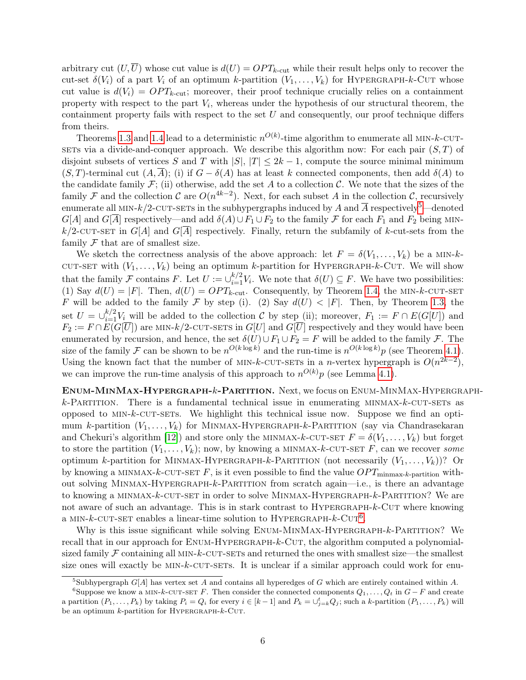arbitrary cut  $(U,\overline{U})$  whose cut value is  $d(U) = OPT_{k\text{-cut}}$  while their result helps only to recover the cut-set  $\delta(V_i)$  of a part  $V_i$  of an optimum k-partition  $(V_1, \ldots, V_k)$  for HYPERGRAPH-k-CUT whose cut value is  $d(V_i) = OPT_{k-cut}$ ; moreover, their proof technique crucially relies on a containment property with respect to the part  $V_i$ , whereas under the hypothesis of our structural theorem, the containment property fails with respect to the set  $U$  and consequently, our proof technique differs from theirs.

Theorems [1.3](#page-5-1) and [1.4](#page-5-0) lead to a deterministic  $n^{O(k)}$ -time algorithm to enumerate all MIN-k-CUT-SETs via a divide-and-conquer approach. We describe this algorithm now: For each pair  $(S, T)$  of disjoint subsets of vertices S and T with  $|S|, |T| \leq 2k - 1$ , compute the source minimal minimum  $(S, T)$ -terminal cut  $(A, \overline{A})$ ; (i) if  $G - \delta(A)$  has at least k connected components, then add  $\delta(A)$  to the candidate family  $\mathcal{F}$ ; (ii) otherwise, add the set A to a collection C. We note that the sizes of the family F and the collection C are  $O(n^{4k-2})$ . Next, for each subset A in the collection C, recursively enumerate all MIN-k/2-CUT-SETs in the subhypergraphs induced by A and  $\overline{A}$  respectively<sup>[5](#page-6-0)</sup>—denoted  $G[A]$  and  $G[\overline{A}]$  respectively—and add  $\delta(A) \cup F_1 \cup F_2$  to the family  $\mathcal F$  for each  $F_1$  and  $F_2$  being MIN $k/2$ -CUT-SET in  $G[A]$  and  $G[\overline{A}]$  respectively. Finally, return the subfamily of k-cut-sets from the family  $\mathcal F$  that are of smallest size.

We sketch the correctness analysis of the above approach: let  $F = \delta(V_1, \ldots, V_k)$  be a MIN-k-CUT-SET with  $(V_1, \ldots, V_k)$  being an optimum k-partition for HYPERGRAPH-k-CUT. We will show that the family F contains F. Let  $U := \bigcup_{i=1}^{k/2} V_i$ . We note that  $\delta(U) \subseteq F$ . We have two possibilities: (1) Say  $d(U) = |F|$ . Then,  $d(U) = OPT_{k-cut}$ . Consequently, by Theorem [1.4,](#page-5-0) the MIN-k-CUT-SET F will be added to the family F by step (i). (2) Say  $d(U) < |F|$ . Then, by Theorem [1.3,](#page-5-1) the set  $U = \bigcup_{i=1}^{k/2} V_i$  will be added to the collection C by step (ii); moreover,  $F_1 := F \cap E(G[U])$  and  $F_2 := F \cap \overline{E(G[\overline{U}])}$  are MIN-k/2-CUT-SETS in  $G[U]$  and  $\overline{G[\overline{U}]}$  respectively and they would have been enumerated by recursion, and hence, the set  $\delta(U) \cup F_1 \cup F_2 = F$  will be added to the family F. The size of the family F can be shown to be  $n^{O(k \log k)}$  and the run-time is  $n^{O(k \log k)}p$  (see Theorem [4.1\)](#page-16-0). Using the known fact that the number of MIN-k-CUT-SETs in a n-vertex hypergraph is  $O(n^{2k-2})$ , we can improve the run-time analysis of this approach to  $n^{O(k)}p$  (see Lemma [4.1\)](#page-18-0).

Enum-MinMax-Hypergraph-k-Partition. Next, we focus on Enum-MinMax-Hypergraph $k$ -Partition. There is a fundamental technical issue in enumerating MINMAX- $k$ -CUT-SETs as opposed to  $MIN-k-CUT-SETS$ . We highlight this technical issue now. Suppose we find an optimum k-partition  $(V_1, \ldots, V_k)$  for MINMAX-HYPERGRAPH-k-PARTITION (say via Chandrasekaran and Chekuri's algorithm [\[12\]](#page-24-3)) and store only the MINMAX-k-CUT-SET  $F = \delta(V_1, \ldots, V_k)$  but forget to store the partition  $(V_1, \ldots, V_k)$ ; now, by knowing a MINMAX-k-CUT-SET F, can we recover some optimum k-partition for MINMAX-HYPERGRAPH-k-PARTITION (not necessarily  $(V_1, \ldots, V_k)$ )? Or by knowing a MINMAX-k-CUT-SET F, is it even possible to find the value  $OPT_{\text{minmax-}k\text{-partition}}$  without solving Minmax-Hypergraph-k-Partition from scratch again—i.e., is there an advantage to knowing a MINMAX-k-CUT-SET in order to solve MINMAX-HYPERGRAPH-k-PARTITION? We are not aware of such an advantage. This is in stark contrast to  $HYPERGRAPH-K-CUT$  where knowing a MIN- $k$ -CUT-SET enables a linear-time solution to HYPERGRAPH- $k$ -CUT<sup>[6](#page-6-1)</sup>.

Why is this issue significant while solving ENUM-MINMAX-HYPERGRAPH-k-PARTITION? We recall that in our approach for ENUM-HYPERGRAPH-k-CUT, the algorithm computed a polynomialsized family  $\mathcal F$  containing all MIN-k-CUT-SETs and returned the ones with smallest size—the smallest size ones will exactly be  $MIN-k$ -CUT-SETs. It is unclear if a similar approach could work for enu-

<span id="page-6-1"></span><span id="page-6-0"></span><sup>&</sup>lt;sup>5</sup>Subhypergraph  $G[A]$  has vertex set A and contains all hyperedges of G which are entirely contained within A.

<sup>&</sup>lt;sup>6</sup>Suppose we know a MIN-k-CUT-SET F. Then consider the connected components  $Q_1, \ldots, Q_t$  in  $G-F$  and create a partition  $(P_1, \ldots, P_k)$  by taking  $P_i = Q_i$  for every  $i \in [k-1]$  and  $P_k = \bigcup_{j=k}^t Q_j$ ; such a k-partition  $(P_1, \ldots, P_k)$  will be an optimum  $k$ -partition for HYPERGRAPH- $k$ -CUT.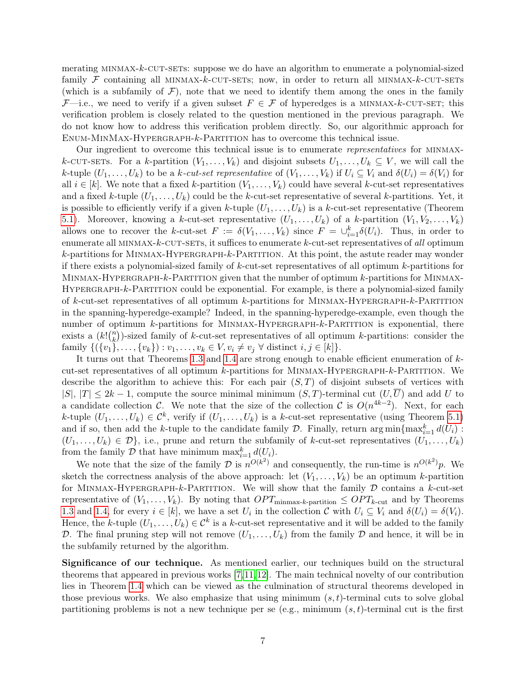merating MINMAX-k-CUT-SETS: suppose we do have an algorithm to enumerate a polynomial-sized family  $\mathcal F$  containing all MINMAX-k-CUT-SETS; now, in order to return all MINMAX-k-CUT-SETS (which is a subfamily of  $\mathcal{F}$ ), note that we need to identify them among the ones in the family  $\mathcal{F}$ —i.e., we need to verify if a given subset  $F \in \mathcal{F}$  of hyperedges is a MINMAX-k-CUT-SET; this verification problem is closely related to the question mentioned in the previous paragraph. We do not know how to address this verification problem directly. So, our algorithmic approach for Enum-MinMax-Hypergraph-k-Partition has to overcome this technical issue.

Our ingredient to overcome this technical issue is to enumerate representatives for minmaxk-CUT-SETS. For a k-partition  $(V_1, \ldots, V_k)$  and disjoint subsets  $U_1, \ldots, U_k \subseteq V$ , we will call the k-tuple  $(U_1,\ldots,U_k)$  to be a k-cut-set representative of  $(V_1,\ldots,V_k)$  if  $U_i\subseteq V_i$  and  $\delta(U_i)=\delta(V_i)$  for all  $i \in [k]$ . We note that a fixed k-partition  $(V_1, \ldots, V_k)$  could have several k-cut-set representatives and a fixed k-tuple  $(U_1, \ldots, U_k)$  could be the k-cut-set representative of several k-partitions. Yet, it is possible to efficiently verify if a given k-tuple  $(U_1, \ldots, U_k)$  is a k-cut-set representative (Theorem [5.1\)](#page-19-0). Moreover, knowing a k-cut-set representative  $(U_1, \ldots, U_k)$  of a k-partition  $(V_1, V_2, \ldots, V_k)$ allows one to recover the k-cut-set  $F := \delta(V_1, \ldots, V_k)$  since  $F = \bigcup_{i=1}^k \delta(U_i)$ . Thus, in order to enumerate all  $MINMAX-k-CUT-SETs$ , it suffices to enumerate k-cut-set representatives of all optimum  $k$ -partitions for MINMAX-HYPERGRAPH- $k$ -PARTITION. At this point, the astute reader may wonder if there exists a polynomial-sized family of k-cut-set representatives of all optimum k-partitions for MINMAX-HYPERGRAPH- $k$ -PARTITION given that the number of optimum  $k$ -partitions for MINMAX-HYPERGRAPH-k-PARTITION could be exponential. For example, is there a polynomial-sized family of k-cut-set representatives of all optimum k-partitions for Minmax-Hypergraph-k-Partition in the spanning-hyperedge-example? Indeed, in the spanning-hyperedge-example, even though the number of optimum k-partitions for MINMAX-HYPERGRAPH-k-PARTITION is exponential, there exists a  $(k!)_{k}^{n}$  $\binom{n}{k}$ )-sized family of k-cut-set representatives of all optimum k-partitions: consider the family  $\{(\{v_1\}, \ldots, \{v_k\}) : v_1, \ldots, v_k \in V, v_i \neq v_j \; \forall \text{ distinct } i, j \in [k]\}.$ 

It turns out that Theorems [1.3](#page-5-1) and [1.4](#page-5-0) are strong enough to enable efficient enumeration of  $k$ cut-set representatives of all optimum k-partitions for Minmax-Hypergraph-k-Partition. We describe the algorithm to achieve this: For each pair  $(S,T)$  of disjoint subsets of vertices with  $|S|, |T| \leq 2k - 1$ , compute the source minimal minimum  $(S, T)$ -terminal cut  $(U, \overline{U})$  and add U to a candidate collection C. We note that the size of the collection C is  $O(n^{4k-2})$ . Next, for each k-tuple  $(U_1,\ldots,U_k) \in \mathcal{C}^k$ , verify if  $(U_1,\ldots,U_k)$  is a k-cut-set representative (using Theorem [5.1\)](#page-19-0) and if so, then add the k-tuple to the candidate family  $D$ . Finally, return  $\arg \min \{ \max_{i=1}^{k} d(U_i) :$  $(U_1, \ldots, U_k) \in \mathcal{D}$ , i.e., prune and return the subfamily of k-cut-set representatives  $(U_1, \ldots, U_k)$ from the family D that have minimum  $\max_{i=1}^k d(U_i)$ .

We note that the size of the family  $\mathcal D$  is  $n^{O(k^2)}$  and consequently, the run-time is  $n^{O(k^2)}p$ . We sketch the correctness analysis of the above approach: let  $(V_1, \ldots, V_k)$  be an optimum k-partition for MINMAX-HYPERGRAPH-k-PARTITION. We will show that the family  $D$  contains a k-cut-set representative of  $(V_1, \ldots, V_k)$ . By noting that  $OPT_{\text{minmax-}k\text{-partition}} \leq OPT_{k\text{-cut}}$  and by Theorems [1.3](#page-5-1) and [1.4,](#page-5-0) for every  $i \in [k]$ , we have a set  $U_i$  in the collection  $\mathcal{C}$  with  $U_i \subseteq V_i$  and  $\delta(U_i) = \delta(V_i)$ . Hence, the k-tuple  $(U_1, \ldots, U_k) \in \mathcal{C}^k$  is a k-cut-set representative and it will be added to the family D. The final pruning step will not remove  $(U_1, \ldots, U_k)$  from the family D and hence, it will be in the subfamily returned by the algorithm.

Significance of our technique. As mentioned earlier, our techniques build on the structural theorems that appeared in previous works [\[7,](#page-24-1)[11,](#page-24-2)[12\]](#page-24-3). The main technical novelty of our contribution lies in Theorem [1.4](#page-5-0) which can be viewed as the culmination of structural theorems developed in those previous works. We also emphasize that using minimum  $(s, t)$ -terminal cuts to solve global partitioning problems is not a new technique per se (e.g., minimum  $(s, t)$ -terminal cut is the first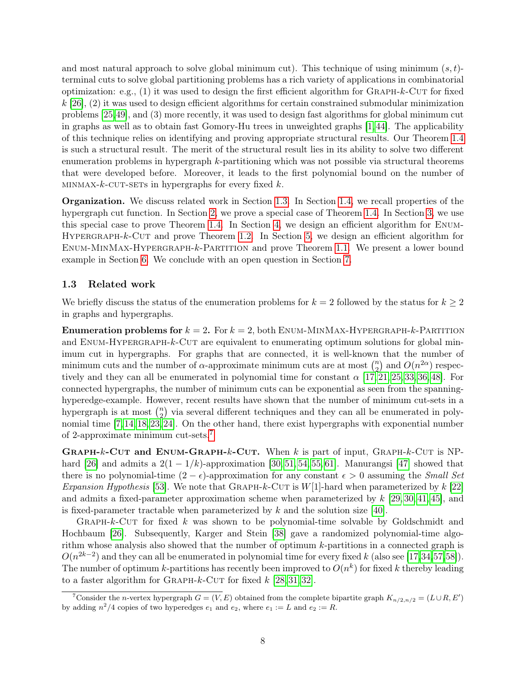and most natural approach to solve global minimum cut). This technique of using minimum  $(s, t)$ terminal cuts to solve global partitioning problems has a rich variety of applications in combinatorial optimization: e.g.,  $(1)$  it was used to design the first efficient algorithm for GRAPH-k-CUT for fixed  $k$  [\[26\]](#page-25-10), (2) it was used to design efficient algorithms for certain constrained submodular minimization problems [\[25,](#page-25-11)[49\]](#page-27-7), and (3) more recently, it was used to design fast algorithms for global minimum cut in graphs as well as to obtain fast Gomory-Hu trees in unweighted graphs [\[1,](#page-24-9)[44\]](#page-26-8). The applicability of this technique relies on identifying and proving appropriate structural results. Our Theorem [1.4](#page-5-0) is such a structural result. The merit of the structural result lies in its ability to solve two different enumeration problems in hypergraph k-partitioning which was not possible via structural theorems that were developed before. Moreover, it leads to the first polynomial bound on the number of  $MINMAX-k-CUT-SETs$  in hypergraphs for every fixed k.

Organization. We discuss related work in Section [1.3.](#page-8-0) In Section [1.4,](#page-9-0) we recall properties of the hypergraph cut function. In Section [2,](#page-10-0) we prove a special case of Theorem [1.4.](#page-5-0) In Section [3,](#page-15-0) we use this special case to prove Theorem [1.4.](#page-5-0) In Section [4,](#page-16-1) we design an efficient algorithm for Enum-HYPERGRAPH-k-CUT and prove Theorem [1.2.](#page-4-0) In Section [5,](#page-19-1) we design an efficient algorithm for Enum-MinMax-Hypergraph-k-Partition and prove Theorem [1.1.](#page-3-0) We present a lower bound example in Section [6.](#page-22-0) We conclude with an open question in Section [7.](#page-23-0)

# <span id="page-8-0"></span>1.3 Related work

We briefly discuss the status of the enumeration problems for  $k = 2$  followed by the status for  $k \geq 2$ in graphs and hypergraphs.

**Enumeration problems for**  $k = 2$ . For  $k = 2$ , both ENUM-MINMAX-HYPERGRAPH- $k$ -PARTITION and  $ENUM-HYPERGRAPH-k-CUT$  are equivalent to enumerating optimum solutions for global minimum cut in hypergraphs. For graphs that are connected, it is well-known that the number of minimum cuts and the number of  $\alpha$ -approximate minimum cuts are at most  $\binom{n}{2}$  $n_2$ ) and  $O(n^{2\alpha})$  respectively and they can all be enumerated in polynomial time for constant  $\alpha$  [\[17,](#page-25-9) [21,](#page-25-12) [25,](#page-25-11) [33,](#page-26-9) [36,](#page-26-10) [48\]](#page-27-8). For connected hypergraphs, the number of minimum cuts can be exponential as seen from the spanninghyperedge-example. However, recent results have shown that the number of minimum cut-sets in a hypergraph is at most  $\binom{n}{2}$  $n_2$ ) via several different techniques and they can all be enumerated in polynomial time [\[7,](#page-24-1)[14,](#page-25-0)[18,](#page-25-1)[23,](#page-25-3)[24\]](#page-25-4). On the other hand, there exist hypergraphs with exponential number of 2-approximate minimum cut-sets.[7](#page-8-1)

**GRAPH-k-CUT and ENUM-GRAPH-k-CUT.** When k is part of input, GRAPH-k-CUT is NP-hard [\[26\]](#page-25-10) and admits a  $2(1 - 1/k)$ -approximation [\[30,](#page-26-11) [51,](#page-27-9) [54,](#page-27-10) [55,](#page-27-11) [61\]](#page-27-4). Manurangsi [\[47\]](#page-27-12) showed that there is no polynomial-time  $(2 - \epsilon)$ -approximation for any constant  $\epsilon > 0$  assuming the *Small Set* Expansion Hypothesis [\[53\]](#page-27-13). We note that GRAPH-k-CUT is  $W[1]$ -hard when parameterized by k [\[22\]](#page-25-13) and admits a fixed-parameter approximation scheme when parameterized by  $k$  [\[29,](#page-26-12) [30,](#page-26-11) [41,](#page-26-13) [45\]](#page-27-14), and is fixed-parameter tractable when parameterized by  $k$  and the solution size [\[40\]](#page-26-14).

GRAPH- $k$ -CUT for fixed k was shown to be polynomial-time solvable by Goldschmidt and Hochbaum [\[26\]](#page-25-10). Subsequently, Karger and Stein [\[38\]](#page-26-7) gave a randomized polynomial-time algorithm whose analysis also showed that the number of optimum k-partitions in a connected graph is  $O(n^{2k-2})$  and they can all be enumerated in polynomial time for every fixed k (also see [\[17,](#page-25-9)[34,](#page-26-15)[57,](#page-27-6)[58\]](#page-27-15)). The number of optimum k-partitions has recently been improved to  $O(n^k)$  for fixed k thereby leading to a faster algorithm for GRAPH- $k$ -CUT for fixed  $k$  [\[28,](#page-25-7) [31,](#page-26-5) [32\]](#page-26-6).

<span id="page-8-1"></span><sup>&</sup>lt;sup>7</sup>Consider the *n*-vertex hypergraph  $G = (V, E)$  obtained from the complete bipartite graph  $K_{n/2,n/2} = (L \cup R, E')$ by adding  $n^2/4$  copies of two hyperedges  $e_1$  and  $e_2$ , where  $e_1 := L$  and  $e_2 := R$ .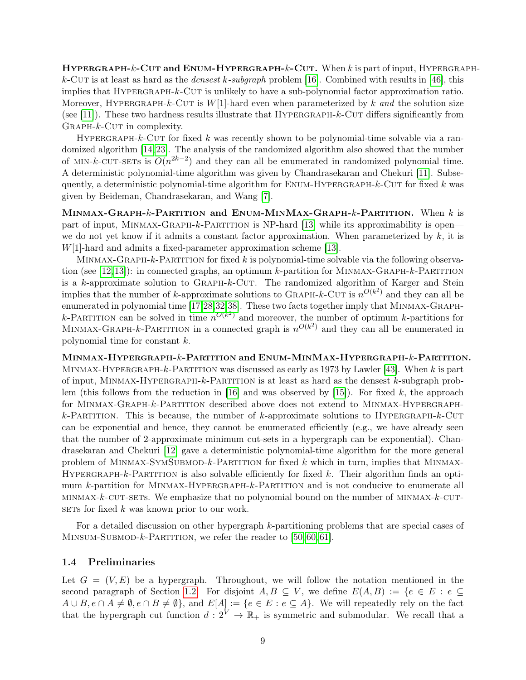**HYPERGRAPH-k-CUT and ENUM-HYPERGRAPH-k-CUT.** When k is part of input, HYPERGRAPHk-Cut is at least as hard as the *densest k-subgraph* problem [\[16\]](#page-25-14). Combined with results in [\[46\]](#page-27-16), this implies that Hypergraph-k-Cut is unlikely to have a sub-polynomial factor approximation ratio. Moreover, HYPERGRAPH-k-CUT is  $W[1]$ -hard even when parameterized by k and the solution size (see [\[11\]](#page-24-2)). These two hardness results illustrate that  $HYPERGRAPH-k-CUT$  differs significantly from  $GRAPH-K-CUT$  in complexity.

HYPERGRAPH-k-CUT for fixed k was recently shown to be polynomial-time solvable via a randomized algorithm [\[14,](#page-25-0)[23\]](#page-25-3). The analysis of the randomized algorithm also showed that the number of MIN-k-CUT-SETs is  $O(n^{2k-2})$  and they can all be enumerated in randomized polynomial time. A deterministic polynomial-time algorithm was given by Chandrasekaran and Chekuri [\[11\]](#page-24-2). Subsequently, a deterministic polynomial-time algorithm for  $ENUM-HYPERGRAPH-k-CUT$  for fixed k was given by Beideman, Chandrasekaran, and Wang [\[7\]](#page-24-1).

MINMAX-GRAPH- $k$ -Partition and ENUM-MINMAX-GRAPH- $k$ -Partition. When  $k$  is part of input, MINMAX-GRAPH-k-PARTITION is NP-hard [\[13\]](#page-25-8) while its approximability is open we do not yet know if it admits a constant factor approximation. When parameterized by  $k$ , it is W[1]-hard and admits a fixed-parameter approximation scheme [\[13\]](#page-25-8).

MINMAX-GRAPH-k-PARTITION for fixed k is polynomial-time solvable via the following observation (see [\[12,](#page-24-3)[13\]](#page-25-8)): in connected graphs, an optimum k-partition for Minmax-Graph-k-Partition is a  $k$ -approximate solution to GRAPH- $k$ -CUT. The randomized algorithm of Karger and Stein implies that the number of k-approximate solutions to GRAPH-k-CUT is  $n^{O(k^2)}$  and they can all be enumerated in polynomial time [\[17,](#page-25-9)[28,](#page-25-7)[32,](#page-26-6)[38\]](#page-26-7). These two facts together imply that Minmax-Graphk-PARTITION can be solved in time  $n^{O(k^2)}$  and moreover, the number of optimum k-partitions for MINMAX-GRAPH-k-PARTITION in a connected graph is  $n^{O(k^2)}$  and they can all be enumerated in polynomial time for constant k.

Minmax-Hypergraph-k-Partition and Enum-MinMax-Hypergraph-k-Partition. MINMAX-HYPERGRAPH-k-PARTITION was discussed as early as 1973 by Lawler [\[43\]](#page-26-0). When k is part of input, MINMAX-HYPERGRAPH- $k$ -PARTITION is at least as hard as the densest  $k$ -subgraph prob-lem (this follows from the reduction in [\[16\]](#page-25-14) and was observed by [\[15\]](#page-25-15)). For fixed k, the approach for Minmax-Graph-k-Partition described above does not extend to Minmax-Hypergraphk-Partition. This is because, the number of k-approximate solutions to HYPERGRAPH-k-CUT can be exponential and hence, they cannot be enumerated efficiently (e.g., we have already seen that the number of 2-approximate minimum cut-sets in a hypergraph can be exponential). Chandrasekaran and Chekuri [\[12\]](#page-24-3) gave a deterministic polynomial-time algorithm for the more general problem of MINMAX-SYMSUBMOD- $k$ -Partition for fixed k which in turn, implies that MINMAX-HYPERGRAPH-k-PARTITION is also solvable efficiently for fixed  $k$ . Their algorithm finds an optimum k-partition for MINMAX-HYPERGRAPH-k-PARTITION and is not conducive to enumerate all  $MINMAX-k-CUT-SETs.$  We emphasize that no polynomial bound on the number of  $MINMAX-k-CUT-$ SETs for fixed  $k$  was known prior to our work.

For a detailed discussion on other hypergraph k-partitioning problems that are special cases of MINSUM-SUBMOD- $k$ -PARTITION, we refer the reader to [\[50,](#page-27-1) [60,](#page-27-3) [61\]](#page-27-4).

### <span id="page-9-0"></span>1.4 Preliminaries

Let  $G = (V, E)$  be a hypergraph. Throughout, we will follow the notation mentioned in the second paragraph of Section [1.2.](#page-4-1) For disjoint  $A, B \subseteq V$ , we define  $E(A, B) := \{e \in E : e \subseteq E\}$  $A \cup B, e \cap A \neq \emptyset, e \cap B \neq \emptyset$ , and  $E[A] := \{e \in E : e \subseteq A\}$ . We will repeatedly rely on the fact that the hypergraph cut function  $d: 2^V \to \mathbb{R}_+$  is symmetric and submodular. We recall that a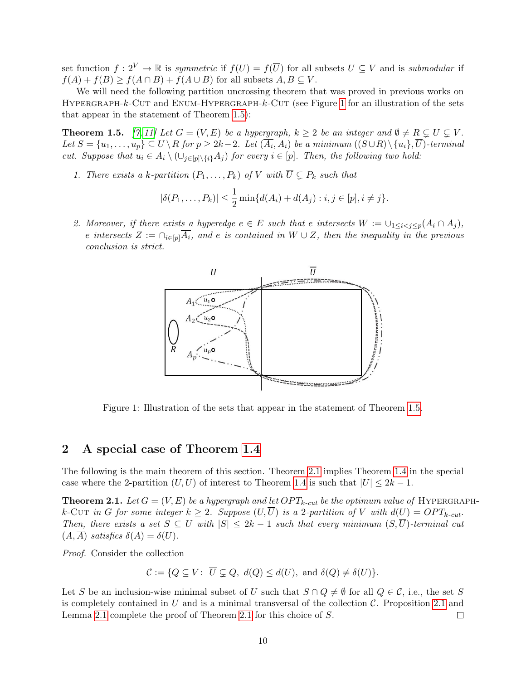set function  $f: 2^V \to \mathbb{R}$  is symmetric if  $f(U) = f(\overline{U})$  for all subsets  $U \subseteq V$  and is submodular if  $f(A) + f(B) \ge f(A \cap B) + f(A \cup B)$  for all subsets  $A, B \subseteq V$ .

We will need the following partition uncrossing theorem that was proved in previous works on HYPERGRAPH-k-CUT and ENUM-HYPERGRAPH-k-CUT (see Figure [1](#page-10-1) for an illustration of the sets that appear in the statement of Theorem [1.5\)](#page-10-2):

<span id="page-10-2"></span>**Theorem 1.5.** [\[7,](#page-24-1) [11\]](#page-24-2) Let  $G = (V, E)$  be a hypergraph,  $k \geq 2$  be an integer and  $\emptyset \neq R \subsetneq U \subsetneq V$ . Let  $S = \{u_1, \ldots, u_p\} \subseteq U \setminus R$  for  $p \ge 2k-2$ . Let  $(A_i, A_i)$  be a minimum  $((S \cup R) \setminus \{u_i\}, U)$ -terminal cut. Suppose that  $u_i \in A_i \setminus (\cup_{j\in [p]\setminus\{i\}} A_j)$  for every  $i \in [p]$ . Then, the following two hold:

1. There exists a k-partition  $(P_1, \ldots, P_k)$  of V with  $\overline{U} \subsetneq P_k$  such that

$$
|\delta(P_1,\ldots,P_k)| \leq \frac{1}{2} \min\{d(A_i) + d(A_j) : i, j \in [p], i \neq j\}.
$$

<span id="page-10-1"></span>2. Moreover, if there exists a hyperedge  $e \in E$  such that e intersects  $W := \bigcup_{1 \leq i < j \leq p} (A_i \cap A_j)$ , e intersects  $Z := \bigcap_{i \in [p]} \overline{A_i}$ , and e is contained in  $W \cup Z$ , then the inequality in the previous conclusion is strict.



Figure 1: Illustration of the sets that appear in the statement of Theorem [1.5.](#page-10-2)

### <span id="page-10-0"></span>2 A special case of Theorem [1.4](#page-5-0)

The following is the main theorem of this section. Theorem [2.1](#page-10-3) implies Theorem [1.4](#page-5-0) in the special case where the 2-partition  $(U,\overline{U})$  of interest to Theorem [1.4](#page-5-0) is such that  $|\overline{U}| \leq 2k - 1$ .

<span id="page-10-3"></span>**Theorem 2.1.** Let  $G = (V, E)$  be a hypergraph and let  $OPT_{k-cut}$  be the optimum value of HYPERGRAPHk-Cut in G for some integer  $k \geq 2$ . Suppose  $(U,\overline{U})$  is a 2-partition of V with  $d(U) = OPT_{k-cut}$ . Then, there exists a set  $S \subseteq U$  with  $|S| \leq 2k-1$  such that every minimum  $(S,\overline{U})$ -terminal cut  $(A, \overline{A})$  satisfies  $\delta(A) = \delta(U)$ .

Proof. Consider the collection

$$
\mathcal{C} := \{ Q \subseteq V : \overline{U} \subsetneq Q, \ d(Q) \leq d(U), \text{ and } \delta(Q) \neq \delta(U) \}.
$$

Let S be an inclusion-wise minimal subset of U such that  $S \cap Q \neq \emptyset$  for all  $Q \in \mathcal{C}$ , i.e., the set S is completely contained in U and is a minimal transversal of the collection  $\mathcal{C}$ . Proposition [2.1](#page-11-0) and Lemma [2.1](#page-11-1) complete the proof of Theorem [2.1](#page-10-3) for this choice of S.  $\Box$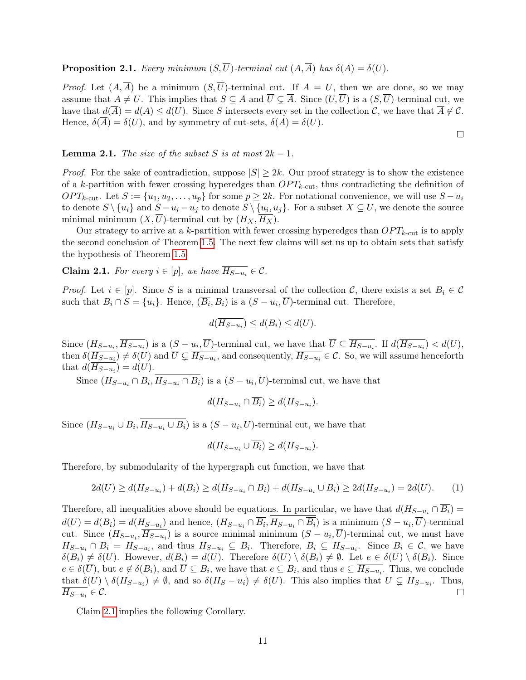<span id="page-11-0"></span>**Proposition 2.1.** Every minimum  $(S,\overline{U})$ -terminal cut  $(A,\overline{A})$  has  $\delta(A) = \delta(U)$ .

*Proof.* Let  $(A,\overline{A})$  be a minimum  $(S,\overline{U})$ -terminal cut. If  $A = U$ , then we are done, so we may assume that  $A \neq U$ . This implies that  $S \subseteq A$  and  $\overline{U} \subsetneq \overline{A}$ . Since  $(U,\overline{U})$  is a  $(S,\overline{U})$ -terminal cut, we have that  $d(\overline{A}) = d(A) \leq d(U)$ . Since S intersects every set in the collection C, we have that  $\overline{A} \notin \mathcal{C}$ . Hence,  $\delta(\overline{A}) = \delta(U)$ , and by symmetry of cut-sets,  $\delta(A) = \delta(U)$ .

 $\Box$ 

#### <span id="page-11-1"></span>**Lemma 2.1.** The size of the subset S is at most  $2k - 1$ .

*Proof.* For the sake of contradiction, suppose  $|S| \geq 2k$ . Our proof strategy is to show the existence of a k-partition with fewer crossing hyperedges than  $OPT_{k\text{-cut}}$ , thus contradicting the definition of  $OPT_{k\text{-cut}}$ . Let  $S := \{u_1, u_2, \ldots, u_p\}$  for some  $p \geq 2k$ . For notational convenience, we will use  $S - u_i$ to denote  $S \setminus \{u_i\}$  and  $S - u_i - u_j$  to denote  $S \setminus \{u_i, u_j\}$ . For a subset  $X \subseteq U$ , we denote the source minimal minimum  $(X,\overline{U})$ -terminal cut by  $(H_X,\overline{H_X})$ .

Our strategy to arrive at a k-partition with fewer crossing hyperedges than  $OPT_{k\text{-cut}}$  is to apply the second conclusion of Theorem [1.5.](#page-10-2) The next few claims will set us up to obtain sets that satisfy the hypothesis of Theorem [1.5.](#page-10-2)

<span id="page-11-2"></span>Claim 2.1. For every  $i \in [p]$ , we have  $\overline{H_{S-u_i}} \in \mathcal{C}$ .

*Proof.* Let  $i \in [p]$ . Since S is a minimal transversal of the collection C, there exists a set  $B_i \in \mathcal{C}$ such that  $B_i \cap S = \{u_i\}$ . Hence,  $(\overline{B_i}, B_i)$  is a  $(S - u_i, \overline{U})$ -terminal cut. Therefore,

$$
d(\overline{H_{S-u_i}}) \le d(B_i) \le d(U).
$$

Since  $(H_{S-u_i}, \overline{H_{S-u_i}})$  is a  $(S-u_i, \overline{U})$ -terminal cut, we have that  $\overline{U} \subseteq \overline{H_{S-u_i}}$ . If  $d(H_{S-u_i}) < d(U)$ , then  $\delta(\overline{H_{S-u_i}}) \neq \delta(U)$  and  $\overline{U} \subsetneq \overline{H_{S-u_i}}$ , and consequently,  $\overline{H_{S-u_i}} \in \mathcal{C}$ . So, we will assume henceforth that  $d(H_{S-u_i}) = d(U)$ .

Since  $(H_{S-u_i} \cap \overline{B_i}, H_{S-u_i} \cap \overline{B_i})$  is a  $(S-u_i, \overline{U})$ -terminal cut, we have that

$$
d(H_{S-u_i} \cap \overline{B_i}) \ge d(H_{S-u_i}).
$$

Since  $(H_{S-u_i} \cup B_i, H_{S-u_i} \cup B_i)$  is a  $(S-u_i, U)$ -terminal cut, we have that

$$
d(H_{S-u_i} \cup \overline{B_i}) \ge d(H_{S-u_i}).
$$

Therefore, by submodularity of the hypergraph cut function, we have that

$$
2d(U) \ge d(H_{S-u_i}) + d(B_i) \ge d(H_{S-u_i} \cap \overline{B_i}) + d(H_{S-u_i} \cup \overline{B_i}) \ge 2d(H_{S-u_i}) = 2d(U). \tag{1}
$$

Therefore, all inequalities above should be equations. In particular, we have that  $d(H_{S-u_i} \cap \overline{B_i}) =$  $d(U) = d(B_i) = d(H_{S-u_i})$  and hence,  $(H_{S-u_i} \cap \overline{B_i}, H_{S-u_i} \cap \overline{B_i})$  is a minimum  $(S-u_i, \overline{U})$ -terminal cut. Since  $(H_{S-u_i}, \overline{H_{S-u_i}})$  is a source minimal minimum  $(S-u_i, \overline{U})$ -terminal cut, we must have  $H_{S-u_i} \cap \overline{B_i} = H_{S-u_i}$ , and thus  $H_{S-u_i} \subseteq \overline{B_i}$ . Therefore,  $B_i \subseteq \overline{H_{S-u_i}}$ . Since  $B_i \in \mathcal{C}$ , we have  $\delta(B_i) \neq \delta(U)$ . However,  $d(B_i) = d(U)$ . Therefore  $\delta(U) \setminus \delta(B_i) \neq \emptyset$ . Let  $e \in \delta(U) \setminus \delta(B_i)$ . Since  $e \in \delta(U)$ , but  $e \notin \delta(B_i)$ , and  $U \subseteq B_i$ , we have that  $e \subseteq B_i$ , and thus  $e \subseteq H_{S-u_i}$ . Thus, we conclude that  $\delta(U) \setminus \delta(\overline{H_{S-u_i}}) \neq \emptyset$ , and so  $\delta(\overline{H_S-u_i}) \neq \delta(U)$ . This also implies that  $\overline{U} \subsetneq \overline{H_{S-u_i}}$ . Thus,  $H_{S-u_i} \in \mathcal{C}.$  $\Box$ 

Claim [2.1](#page-11-2) implies the following Corollary.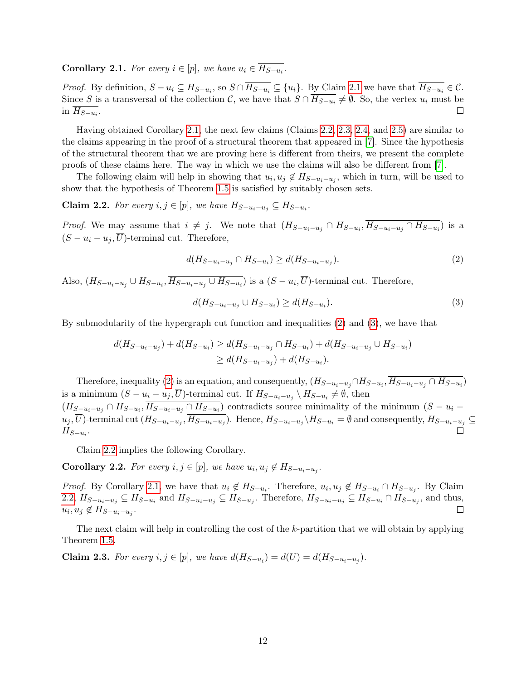<span id="page-12-0"></span>**Corollary 2.1.** For every  $i \in [p]$ , we have  $u_i \in H_{S-u_i}$ .

*Proof.* By definition,  $S - u_i \subseteq H_{S-u_i}$ , so  $S \cap H_{S-u_i} \subseteq \{u_i\}$ . By Claim [2.1](#page-11-2) we have that  $H_{S-u_i} \in \mathcal{C}$ . Since S is a transversal of the collection C, we have that  $S \cap H_{S-u_i} \neq \emptyset$ . So, the vertex  $u_i$  must be in  $H_{S-u_i}$ .  $\Box$ 

Having obtained Corollary [2.1,](#page-12-0) the next few claims (Claims [2.2,](#page-12-1) [2.3,](#page-12-2) [2.4,](#page-13-0) and [2.5\)](#page-14-0) are similar to the claims appearing in the proof of a structural theorem that appeared in [\[7\]](#page-24-1). Since the hypothesis of the structural theorem that we are proving here is different from theirs, we present the complete proofs of these claims here. The way in which we use the claims will also be different from [\[7\]](#page-24-1).

The following claim will help in showing that  $u_i, u_j \notin H_{S-u_i-u_j}$ , which in turn, will be used to show that the hypothesis of Theorem [1.5](#page-10-2) is satisfied by suitably chosen sets.

<span id="page-12-1"></span>**Claim 2.2.** For every  $i, j \in [p]$ , we have  $H_{S-u_i-u_j} \subseteq H_{S-u_i}$ .

*Proof.* We may assume that  $i \neq j$ . We note that  $(H_{S-u_i-u_j} \cap H_{S-u_i}, H_{S-u_i-u_j} \cap H_{S-u_i})$  is a  $(S - u_i - u_j, \overline{U})$ -terminal cut. Therefore,

<span id="page-12-3"></span>
$$
d(H_{S-u_i-u_j} \cap H_{S-u_i}) \ge d(H_{S-u_i-u_j}).
$$
\n(2)

Also,  $(H_{S-u_i-u_j} \cup H_{S-u_i}, H_{S-u_i-u_j} \cup H_{S-u_i})$  is a  $(S-u_i, U)$ -terminal cut. Therefore,

<span id="page-12-4"></span>
$$
d(H_{S-u_i-u_j} \cup H_{S-u_i}) \ge d(H_{S-u_i}).\tag{3}
$$

By submodularity of the hypergraph cut function and inequalities [\(2\)](#page-12-3) and [\(3\)](#page-12-4), we have that

$$
d(H_{S-u_i-u_j}) + d(H_{S-u_i}) \ge d(H_{S-u_i-u_j} \cap H_{S-u_i}) + d(H_{S-u_i-u_j} \cup H_{S-u_i})
$$
  
\n
$$
\ge d(H_{S-u_i-u_j}) + d(H_{S-u_i}).
$$

Therefore, inequality [\(2\)](#page-12-3) is an equation, and consequently,  $(H_{S-u_i-u_j} \cap H_{S-u_i}, \overline{H}_{S-u_i-u_j} \cap H_{S-u_i})$ is a minimum  $(S - u_i - u_j, \overline{U})$ -terminal cut. If  $H_{S - u_i - u_j} \setminus H_{S - u_i} \neq \emptyset$ , then  $(H_{S-u_i-u_j} \cap H_{S-u_i}, \overline{H_{S-u_i-u_j} \cap H_{S-u_i}})$  contradicts source minimality of the minimum  $(S-u_i-u_j)$  $u_j, U$ )-terminal cut  $(H_{S-u_i-u_j}, H_{S-u_i-u_j})$ . Hence,  $H_{S-u_i-u_j} \setminus H_{S-u_i} = \emptyset$  and consequently,  $H_{S-u_i-u_j} \subseteq$  $H_{S-u_i}$ .

Claim [2.2](#page-12-1) implies the following Corollary.

<span id="page-12-5"></span>**Corollary 2.2.** For every  $i, j \in [p]$ , we have  $u_i, u_j \notin H_{S-u_i-u_j}$ .

*Proof.* By Corollary [2.1,](#page-12-0) we have that  $u_i \notin H_{S-u_i}$ . Therefore,  $u_i, u_j \notin H_{S-u_i} \cap H_{S-u_j}$ . By Claim [2.2,](#page-12-1)  $H_{S-u_i-u_j} \subseteq H_{S-u_i}$  and  $H_{S-u_i-u_j} \subseteq H_{S-u_j}$ . Therefore,  $H_{S-u_i-u_j} \subseteq H_{S-u_i} \cap H_{S-u_j}$ , and thus,  $u_i, u_j \notin H_{S-u_i-u_j}.$  $\Box$ 

The next claim will help in controlling the cost of the k-partition that we will obtain by applying Theorem [1.5.](#page-10-2)

<span id="page-12-2"></span>**Claim 2.3.** For every  $i, j \in [p]$ , we have  $d(H_{S-u_i}) = d(U) = d(H_{S-u_i-u_j})$ .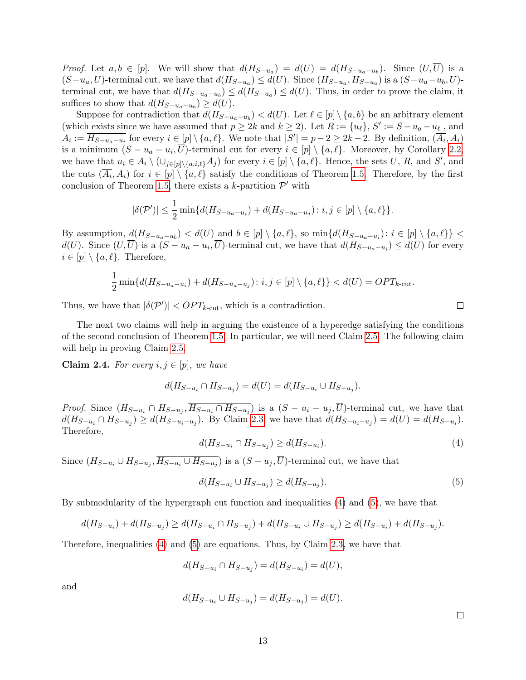*Proof.* Let  $a, b \in [p]$ . We will show that  $d(H_{S-u_a}) = d(U) = d(H_{S-u_a-u_b})$ . Since  $(U, U)$  is a  $(S-u_a, U)$ -terminal cut, we have that  $d(H_{S-u_a}) \le d(U)$ . Since  $(H_{S-u_a}, H_{S-u_a})$  is a  $(S-u_a-u_b, U)$ terminal cut, we have that  $d(H_{S-u_a-u_b}) \leq d(H_{S-u_a}) \leq d(U)$ . Thus, in order to prove the claim, it suffices to show that  $d(H_{S-u_a-u_b}) \ge d(U)$ .

Suppose for contradiction that  $d(H_{S-u_a-u_b}) < d(U)$ . Let  $\ell \in [p] \setminus \{a, b\}$  be an arbitrary element (which exists since we have assumed that  $p \ge 2k$  and  $k \ge 2$ ). Let  $R := \{u_{\ell}\}, S' := S - u_a - u_{\ell}$ , and  $A_i := \overline{H_{S-u_a-u_i}}$  for every  $i \in [p] \setminus \{a, \ell\}$ . We note that  $|S'| = p-2 \ge 2k-2$ . By definition,  $(\overline{A_i}, A_i)$ is a minimum  $(S - u_a - u_i, U)$ -terminal cut for every  $i \in [p] \setminus \{a, \ell\}$ . Moreover, by Corollary [2.2,](#page-12-5) we have that  $u_i \in A_i \setminus (\cup_{j\in [p]\setminus\{a,i,\ell\}} A_j)$  for every  $i \in [p] \setminus \{a,\ell\}$ . Hence, the sets U, R, and S', and the cuts  $(\overline{A_i}, A_i)$  for  $i \in [p] \setminus \{a, \ell\}$  satisfy the conditions of Theorem [1.5.](#page-10-2) Therefore, by the first conclusion of Theorem [1.5,](#page-10-2) there exists a k-partition  $\mathcal{P}'$  with

$$
|\delta(\mathcal{P}')| \leq \frac{1}{2} \min \{ d(H_{S-u_a-u_i}) + d(H_{S-u_a-u_j}) : i, j \in [p] \setminus \{a, \ell\} \}.
$$

By assumption,  $d(H_{S-u_a-u_b}) < d(U)$  and  $b \in [p] \setminus \{a,\ell\}$ , so  $\min\{d(H_{S-u_a-u_i}) : i \in [p] \setminus \{a,\ell\}\}$  $d(U)$ . Since  $(U, \overline{U})$  is a  $(S - u_a - u_i, \overline{U})$ -terminal cut, we have that  $d(H_{S-u_a-u_i}) \le d(U)$  for every  $i \in [p] \setminus \{a, \ell\}.$  Therefore,

$$
\frac{1}{2}\min\{d(H_{S-u_a-u_i})+d(H_{S-u_a-u_j})\colon i,j\in[p]\setminus\{a,\ell\}\}
$$

Thus, we have that  $|\delta(\mathcal{P}')| < OPT_{k\text{-cut}}$ , which is a contradiction.

The next two claims will help in arguing the existence of a hyperedge satisfying the conditions of the second conclusion of Theorem [1.5.](#page-10-2) In particular, we will need Claim [2.5.](#page-14-0) The following claim will help in proving Claim [2.5.](#page-14-0)

<span id="page-13-0"></span>**Claim 2.4.** For every  $i, j \in [p]$ , we have

$$
d(H_{S-u_i} \cap H_{S-u_j}) = d(U) = d(H_{S-u_i} \cup H_{S-u_j}).
$$

<span id="page-13-1"></span>*Proof.* Since  $(H_{S-u_i} \cap H_{S-u_j}, \overline{H_{S-u_i} \cap H_{S-u_j}})$  is a  $(S-u_i-u_j, \overline{U})$ -terminal cut, we have that  $d(H_{S-u_i} \cap H_{S-u_j}) \ge d(H_{S-u_i-u_j})$ . By Claim [2.3,](#page-12-2) we have that  $d(H_{S-u_i-u_j}) = d(U) = d(H_{S-u_i})$ . Therefore,

$$
d(H_{S-u_i} \cap H_{S-u_j}) \ge d(H_{S-u_i}). \tag{4}
$$

Since  $(H_{S-u_i} \cup H_{S-u_j}, H_{S-u_i} \cup H_{S-u_j})$  is a  $(S-u_j, U)$ -terminal cut, we have that

$$
d(H_{S-u_i} \cup H_{S-u_j}) \ge d(H_{S-u_j}).\tag{5}
$$

By submodularity of the hypergraph cut function and inequalities [\(4\)](#page-13-1) and [\(5\)](#page-13-2), we have that

$$
d(H_{S-u_i}) + d(H_{S-u_j}) \ge d(H_{S-u_i} \cap H_{S-u_j}) + d(H_{S-u_i} \cup H_{S-u_j}) \ge d(H_{S-u_i}) + d(H_{S-u_j}).
$$

Therefore, inequalities [\(4\)](#page-13-1) and [\(5\)](#page-13-2) are equations. Thus, by Claim [2.3,](#page-12-2) we have that

$$
d(H_{S-u_i} \cap H_{S-u_j}) = d(H_{S-u_i}) = d(U),
$$

and

$$
d(H_{S-u_i} \cup H_{S-u_j}) = d(H_{S-u_j}) = d(U).
$$

 $\Box$ 

<span id="page-13-2"></span> $\Box$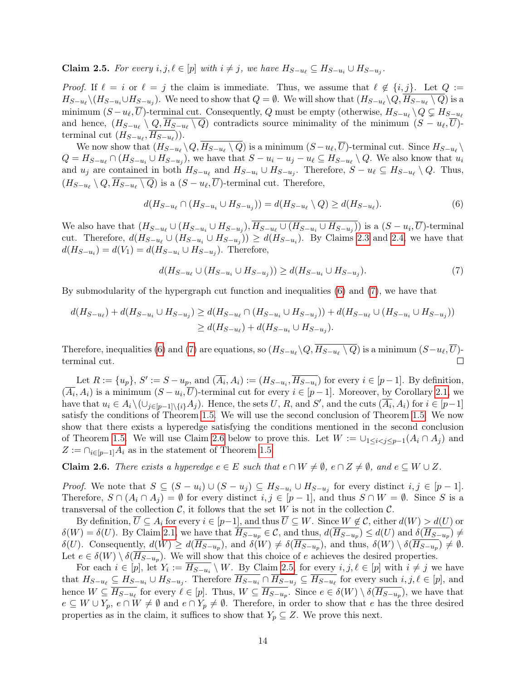<span id="page-14-0"></span>**Claim 2.5.** For every  $i, j, \ell \in [p]$  with  $i \neq j$ , we have  $H_{S-u_{\ell}} \subseteq H_{S-u_i} \cup H_{S-u_j}$ .

*Proof.* If  $\ell = i$  or  $\ell = j$  the claim is immediate. Thus, we assume that  $\ell \notin \{i, j\}$ . Let  $Q :=$  $H_{S-u_\ell}\backslash (H_{S-u_i}\cup H_{S-u_j}).$  We need to show that  $Q=\emptyset$ . We will show that  $(H_{S-u_\ell}\backslash Q, H_{S-u_\ell}\setminus Q)$  is a minimum  $(S - u_{\ell}, \overline{U})$ -terminal cut. Consequently, Q must be empty (otherwise,  $H_{S-u_{\ell}} \setminus Q \subsetneq H_{S-u_{\ell}}$ and hence,  $(H_{S-u_{\ell}}\setminus Q, H_{S-u_{\ell}}\setminus Q)$  contradicts source minimality of the minimum  $(S-u_{\ell}, \overline{U})$ terminal cut  $(H_{S-u_{\ell}}, \overline{H_{S-u_{\ell}}})).$ 

We now show that  $(H_{S-u_\ell} \setminus Q, H_{S-u_\ell} \setminus Q)$  is a minimum  $(S-u_\ell, \overline{U})$ -terminal cut. Since  $H_{S-u_\ell} \setminus Q$  $Q = H_{S-u_{\ell}} \cap (H_{S-u_i} \cup H_{S-u_j})$ , we have that  $S - u_i - u_j - u_{\ell} \subseteq H_{S-u_{\ell}} \setminus Q$ . We also know that  $u_i$ and  $u_j$  are contained in both  $H_{S-u_\ell}$  and  $H_{S-u_j} \cup H_{S-u_j}$ . Therefore,  $S-u_\ell \subseteq H_{S-u_\ell} \setminus Q$ . Thus,  $(H_{S-u_{\ell}}\setminus Q, H_{S-u_{\ell}}\setminus Q)$  is a  $(S-u_{\ell}, U)$ -terminal cut. Therefore,

<span id="page-14-1"></span>
$$
d(H_{S-u_{\ell}} \cap (H_{S-u_i} \cup H_{S-u_j})) = d(H_{S-u_{\ell}} \setminus Q) \ge d(H_{S-u_{\ell}}). \tag{6}
$$

We also have that  $(H_{S-u_\ell} \cup (H_{S-u_i} \cup H_{S-u_j}), H_{S-u_\ell} \cup (H_{S-u_i} \cup H_{S-u_j}))$  is a  $(S-u_i, U)$ -terminal cut. Therefore,  $d(H_{S-u_{\ell}} \cup (H_{S-u_i} \cup H_{S-u_j})) \geq d(H_{S-u_i})$ . By Claims [2.3](#page-12-2) and [2.4,](#page-13-0) we have that  $d(H_{S-u_i}) = d(V_1) = d(H_{S-u_i} \cup H_{S-u_j})$ . Therefore,

<span id="page-14-2"></span>
$$
d(H_{S-u_{\ell}} \cup (H_{S-u_i} \cup H_{S-u_j})) \ge d(H_{S-u_i} \cup H_{S-u_j}).
$$
\n(7)

By submodularity of the hypergraph cut function and inequalities [\(6\)](#page-14-1) and [\(7\)](#page-14-2), we have that

$$
d(H_{S-u_{\ell}}) + d(H_{S-u_{i}} \cup H_{S-u_{j}}) \ge d(H_{S-u_{\ell}} \cap (H_{S-u_{i}} \cup H_{S-u_{j}})) + d(H_{S-u_{\ell}} \cup (H_{S-u_{i}} \cup H_{S-u_{j}}))
$$
  

$$
\ge d(H_{S-u_{\ell}}) + d(H_{S-u_{i}} \cup H_{S-u_{j}}).
$$

Therefore, inequalities [\(6\)](#page-14-1) and [\(7\)](#page-14-2) are equations, so  $(H_{S-u_\ell} \setminus Q, H_{S-u_\ell} \setminus Q)$  is a minimum  $(S-u_\ell, \overline{U})$ terminal cut.  $\Box$ 

Let  $R := \{u_p\}, S' := S - u_p$ , and  $(\overline{A_i}, A_i) := (H_{S-u_i}, \overline{H_{S-u_i}})$  for every  $i \in [p-1]$ . By definition,  $(\overline{A_i}, A_i)$  is a minimum  $(S - u_i, \overline{U})$ -terminal cut for every  $i \in [p-1]$ . Moreover, by Corollary [2.1,](#page-12-0) we have that  $u_i \in A_i \setminus (\cup_{j\in [p-1]\setminus \{i\}} A_j)$ . Hence, the sets U, R, and S', and the cuts  $(\overline{A_i}, A_i)$  for  $i \in [p-1]$ satisfy the conditions of Theorem [1.5.](#page-10-2) We will use the second conclusion of Theorem [1.5.](#page-10-2) We now show that there exists a hyperedge satisfying the conditions mentioned in the second conclusion of Theorem [1.5.](#page-10-2) We will use Claim [2.6](#page-14-3) below to prove this. Let  $W := \bigcup_{1 \leq i \leq j \leq p-1}(A_i \cap A_j)$  and  $Z := \bigcap_{i \in [p-1]} A_i$  as in the statement of Theorem [1.5.](#page-10-2)

<span id="page-14-3"></span>**Claim 2.6.** There exists a hyperedge  $e \in E$  such that  $e \cap W \neq \emptyset$ ,  $e \cap Z \neq \emptyset$ , and  $e \subseteq W \cup Z$ .

*Proof.* We note that  $S \subseteq (S - u_i) \cup (S - u_j) \subseteq H_{S - u_i} \cup H_{S - u_j}$  for every distinct  $i, j \in [p - 1]$ . Therefore,  $S \cap (A_i \cap A_j) = \emptyset$  for every distinct  $i, j \in [p-1]$ , and thus  $S \cap W = \emptyset$ . Since S is a transversal of the collection  $\mathcal{C}$ , it follows that the set W is not in the collection  $\mathcal{C}$ .

By definition,  $\overline{U} \subseteq A_i$  for every  $i \in [p-1]$ , and thus  $\overline{U} \subseteq W$ . Since  $W \notin \mathcal{C}$ , either  $d(W) > d(U)$  or  $\delta(W) = \delta(U)$ . By Claim [2.1,](#page-11-2) we have that  $\overline{H_{S-u_p}} \in \mathcal{C}$ , and thus,  $d(\overline{H_{S-u_p}}) \leq d(U)$  and  $\delta(\overline{H_{S-u_p}}) \neq d(U)$  $\delta(U)$ . Consequently,  $d(W) \geq d(H_{S-u_p})$ , and  $\delta(W) \neq \delta(H_{S-u_p})$ , and thus,  $\delta(W) \setminus \delta(H_{S-u_p}) \neq \emptyset$ . Let  $e \in \delta(W) \setminus \delta(H_{S-u_p})$ . We will show that this choice of e achieves the desired properties.

For each  $i \in [p]$ , let  $Y_i := H_{S-u_i} \setminus W$ . By Claim [2.5,](#page-14-0) for every  $i, j, \ell \in [p]$  with  $i \neq j$  we have that  $H_{S-u_\ell} \subseteq H_{S-u_i} \cup H_{S-u_j}$ . Therefore  $\overline{H_{S-u_i}} \cap \overline{H_{S-u_j}} \subseteq \overline{H_{S-u_\ell}}$  for every such  $i, j, \ell \in [p]$ , and hence  $W \subseteq \overline{H_{S-u_{\ell}}}$  for every  $\ell \in [p]$ . Thus,  $W \subseteq \overline{H_{S-u_p}}$ . Since  $e \in \delta(W) \setminus \delta(\overline{H_{S-u_p}})$ , we have that  $e \subseteq W \cup Y_p$ ,  $e \cap W \neq \emptyset$  and  $e \cap Y_p \neq \emptyset$ . Therefore, in order to show that e has the three desired properties as in the claim, it suffices to show that  $Y_p \subseteq Z$ . We prove this next.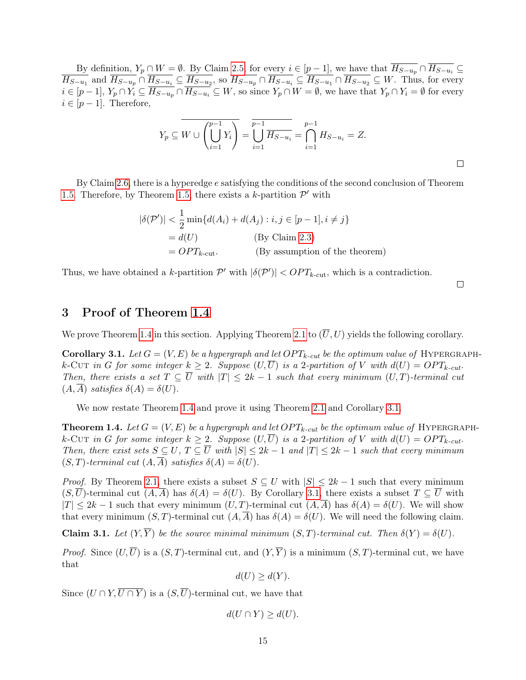By definition,  $Y_p \cap W = \emptyset$ . By Claim [2.5,](#page-14-0) for every  $i \in [p-1]$ , we have that  $\overline{H_{S-u_p}} \cap \overline{H_{S-u_i}} \subseteq$  $H_{S-u_1}$  and  $H_{S-u_p} \cap H_{S-u_i} \subseteq H_{S-u_2}$ , so  $H_{S-u_p} \cap H_{S-u_i} \subseteq H_{S-u_1} \cap H_{S-u_2} \subseteq W$ . Thus, for every  $i \in [p-1], Y_p \cap Y_i \subseteq H_{S-u_p} \cap H_{S-u_i} \subseteq W$ , so since  $Y_p \cap W = \emptyset$ , we have that  $Y_p \cap Y_i = \emptyset$  for every  $i \in [p-1]$ . Therefore,

$$
Y_p \subseteq \overline{W \cup \left(\bigcup_{i=1}^{p-1} Y_i\right)} = \overline{\bigcup_{i=1}^{p-1} \overline{H_{S-u_i}}} = \bigcap_{i=1}^{p-1} H_{S-u_i} = Z.
$$

By Claim [2.6,](#page-14-3) there is a hyperedge e satisfying the conditions of the second conclusion of Theorem [1.5.](#page-10-2) Therefore, by Theorem [1.5,](#page-10-2) there exists a k-partition  $\mathcal{P}'$  with

$$
|\delta(\mathcal{P}')| < \frac{1}{2} \min\{d(A_i) + d(A_j) : i, j \in [p-1], i \neq j\}
$$
  
=  $d(U)$  (By Claim 2.3)  
=  $OPT_{k-cut}$ . (By assumption of the theorem)

Thus, we have obtained a k-partition  $\mathcal{P}'$  with  $|\delta(\mathcal{P}')| < OPT_{k-\text{cut}}$ , which is a contradiction.

 $\Box$ 

# <span id="page-15-0"></span>3 Proof of Theorem [1.4](#page-5-0)

We prove Theorem [1.4](#page-5-0) in this section. Applying Theorem [2.1](#page-10-3) to  $(\overline{U}, U)$  yields the following corollary.

<span id="page-15-1"></span>Corollary 3.1. Let  $G = (V, E)$  be a hypergraph and let  $OPT_{k-cut}$  be the optimum value of HYPERGRAPHk-Cut in G for some integer  $k \geq 2$ . Suppose  $(U,\overline{U})$  is a 2-partition of V with  $d(U) = OPT_{k-cut}$ . Then, there exists a set  $T \subseteq \overline{U}$  with  $|T| \leq 2k - 1$  such that every minimum  $(U, T)$ -terminal cut  $(A, \overline{A})$  satisfies  $\delta(A) = \delta(U)$ .

We now restate Theorem [1.4](#page-5-0) and prove it using Theorem [2.1](#page-10-3) and Corollary [3.1.](#page-15-1)

**Theorem 1.4.** Let  $G = (V, E)$  be a hypergraph and let  $OPT_{k-cut}$  be the optimum value of HYPERGRAPHk-Cut in G for some integer  $k \geq 2$ . Suppose  $(U,\overline{U})$  is a 2-partition of V with  $d(U) = OPT_{k-cut}$ . Then, there exist sets  $S \subseteq U$ ,  $T \subseteq \overline{U}$  with  $|S| \leq 2k - 1$  and  $|T| \leq 2k - 1$  such that every minimum  $(S, T)$ -terminal cut  $(A, \overline{A})$  satisfies  $\delta(A) = \delta(U)$ .

*Proof.* By Theorem [2.1,](#page-10-3) there exists a subset  $S \subseteq U$  with  $|S| \leq 2k - 1$  such that every minimum  $(S,\overline{U})$ -terminal cut  $(A,\overline{A})$  has  $\delta(A) = \delta(U)$ . By Corollary [3.1,](#page-15-1) there exists a subset  $T \subseteq \overline{U}$  with  $|T| \leq 2k - 1$  such that every minimum  $(U, T)$ -terminal cut  $(A, \overline{A})$  has  $\delta(A) = \delta(U)$ . We will show that every minimum  $(S, T)$ -terminal cut  $(A, \overline{A})$  has  $\delta(A) = \delta(U)$ . We will need the following claim.

<span id="page-15-2"></span>Claim 3.1. Let  $(Y,\overline{Y})$  be the source minimal minimum  $(S,T)$ -terminal cut. Then  $\delta(Y) = \delta(U)$ .

*Proof.* Since  $(U,\overline{U})$  is a  $(S,T)$ -terminal cut, and  $(Y,\overline{Y})$  is a minimum  $(S,T)$ -terminal cut, we have that

 $d(U) \geq d(Y)$ .

Since  $(U \cap Y, \overline{U \cap Y})$  is a  $(S, \overline{U})$ -terminal cut, we have that

$$
d(U \cap Y) \ge d(U).
$$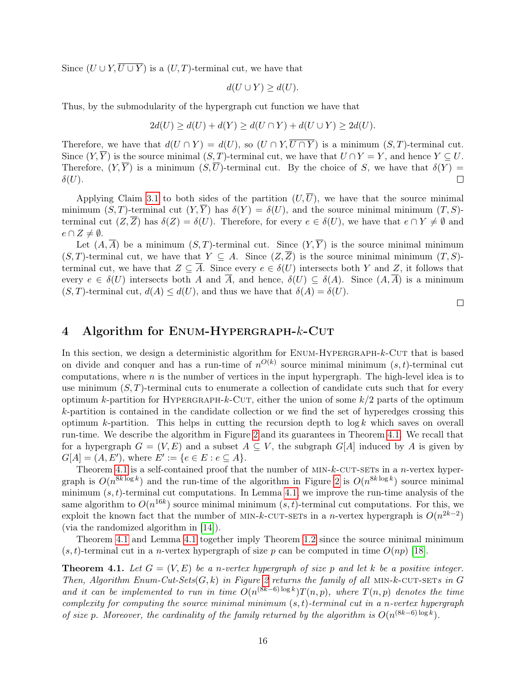Since  $(U \cup Y, \overline{U \cup Y})$  is a  $(U, T)$ -terminal cut, we have that

$$
d(U \cup Y) \ge d(U).
$$

Thus, by the submodularity of the hypergraph cut function we have that

$$
2d(U) \ge d(U) + d(Y) \ge d(U \cap Y) + d(U \cup Y) \ge 2d(U).
$$

Therefore, we have that  $d(U \cap Y) = d(U)$ , so  $(U \cap Y, \overline{U \cap Y})$  is a minimum  $(S, T)$ -terminal cut. Since  $(Y, \overline{Y})$  is the source minimal  $(S, T)$ -terminal cut, we have that  $U \cap Y = Y$ , and hence  $Y \subseteq U$ . Therefore,  $(Y,\overline{Y})$  is a minimum  $(S,\overline{U})$ -terminal cut. By the choice of S, we have that  $\delta(Y)$  =  $\delta(U).$  $\Box$ 

Applying Claim [3.1](#page-15-2) to both sides of the partition  $(U,\overline{U})$ , we have that the source minimal minimum  $(S, T)$ -terminal cut  $(Y, \overline{Y})$  has  $\delta(Y) = \delta(U)$ , and the source minimal minimum  $(T, S)$ terminal cut  $(Z,\overline{Z})$  has  $\delta(Z) = \delta(U)$ . Therefore, for every  $e \in \delta(U)$ , we have that  $e \cap Y \neq \emptyset$  and  $e \cap Z \neq \emptyset$ .

Let  $(A, \overline{A})$  be a minimum  $(S, T)$ -terminal cut. Since  $(Y, \overline{Y})$  is the source minimal minimum  $(S, T)$ -terminal cut, we have that  $Y \subseteq A$ . Since  $(Z, \overline{Z})$  is the source minimal minimum  $(T, S)$ terminal cut, we have that  $Z \subseteq \overline{A}$ . Since every  $e \in \delta(U)$  intersects both Y and Z, it follows that every  $e \in \delta(U)$  intersects both A and  $\overline{A}$ , and hence,  $\delta(U) \subseteq \delta(A)$ . Since  $(A,\overline{A})$  is a minimum  $(S, T)$ -terminal cut,  $d(A) \leq d(U)$ , and thus we have that  $\delta(A) = \delta(U)$ .

 $\Box$ 

## <span id="page-16-1"></span>4 Algorithm for ENUM-HYPERGRAPH-k-CUT

In this section, we design a deterministic algorithm for ENUM-HYPERGRAPH-k-CUT that is based on divide and conquer and has a run-time of  $n^{O(k)}$  source minimal minimum  $(s, t)$ -terminal cut computations, where  $n$  is the number of vertices in the input hypergraph. The high-level idea is to use minimum  $(S, T)$ -terminal cuts to enumerate a collection of candidate cuts such that for every optimum k-partition for HYPERGRAPH-k-CUT, either the union of some  $k/2$  parts of the optimum k-partition is contained in the candidate collection or we find the set of hyperedges crossing this optimum k-partition. This helps in cutting the recursion depth to  $\log k$  which saves on overall run-time. We describe the algorithm in Figure [2](#page-17-0) and its guarantees in Theorem [4.1.](#page-16-0) We recall that for a hypergraph  $G = (V, E)$  and a subset  $A \subseteq V$ , the subgraph  $G[A]$  induced by A is given by  $G[A] = (A, E'), \text{ where } E' := \{e \in E : e \subseteq A\}.$ 

Theorem [4.1](#page-16-0) is a self-contained proof that the number of  $MIN-k$ -CUT-SETs in a *n*-vertex hypergraph is  $O(n^{8k \log k})$  and the run-time of the algorithm in Figure [2](#page-17-0) is  $O(n^{8k \log k})$  source minimal minimum  $(s, t)$ -terminal cut computations. In Lemma [4.1,](#page-18-0) we improve the run-time analysis of the same algorithm to  $O(n^{16k})$  source minimal minimum  $(s, t)$ -terminal cut computations. For this, we exploit the known fact that the number of MIN-k-CUT-SETs in a n-vertex hypergraph is  $O(n^{2k-2})$ (via the randomized algorithm in [\[14\]](#page-25-0)).

Theorem [4.1](#page-16-0) and Lemma [4.1](#page-18-0) together imply Theorem [1.2](#page-4-0) since the source minimal minimum  $(s, t)$ -terminal cut in a *n*-vertex hypergraph of size p can be computed in time  $O(np)$  [\[18\]](#page-25-1).

<span id="page-16-0"></span>**Theorem 4.1.** Let  $G = (V, E)$  be a n-vertex hypergraph of size p and let k be a positive integer. Then, Algorithm Enum-Cut-Sets $(G, k)$  in Figure [2](#page-17-0) returns the family of all MIN-k-CUT-SETs in G and it can be implemented to run in time  $O(n^{(8k-6)\log k})T(n,p)$ , where  $T(n,p)$  denotes the time complexity for computing the source minimal minimum  $(s, t)$ -terminal cut in a n-vertex hypergraph of size p. Moreover, the cardinality of the family returned by the algorithm is  $O(n^{(8k-6)\log k})$ .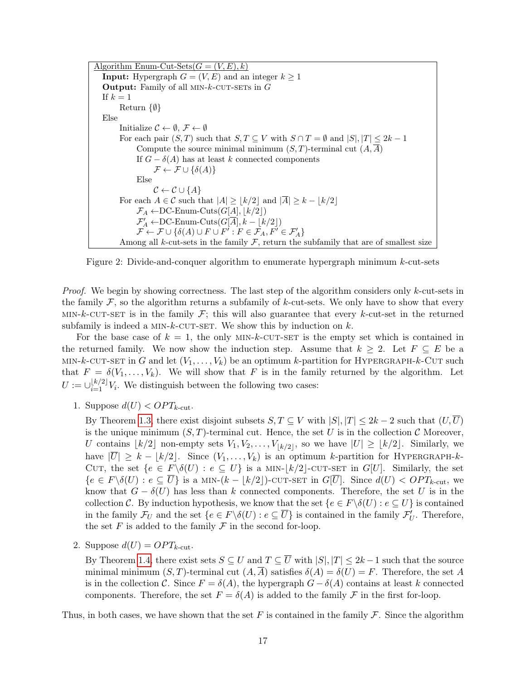<span id="page-17-0"></span>Algorithm Enum-Cut-Sets $(G = (V, E), k)$ **Input:** Hypergraph  $G = (V, E)$  and an integer  $k \geq 1$ **Output:** Family of all MIN- $k$ -CUT-SETS in  $G$ If  $k = 1$ Return {∅} Else Initialize  $\mathcal{C} \leftarrow \emptyset$ ,  $\mathcal{F} \leftarrow \emptyset$ For each pair  $(S, T)$  such that  $S, T \subseteq V$  with  $S \cap T = \emptyset$  and  $|S|, |T| \leq 2k - 1$ Compute the source minimal minimum  $(S, T)$ -terminal cut  $(A, \overline{A})$ If  $G - \delta(A)$  has at least k connected components  $\mathcal{F} \leftarrow \mathcal{F} \cup \{\delta(A)\}\$ Else  $\mathcal{C} \leftarrow \mathcal{C} \cup \{A\}$ For each  $A \in \mathcal{C}$  such that  $|A| \geq |k/2|$  and  $|\overline{A}| \geq k - |k/2|$  $\mathcal{F}_A \leftarrow DC$ -Enum-Cuts $(G[A], \lfloor k/2 \rfloor)$  $\mathcal{F}_A' \leftarrow \text{DC-Enum-Cuts}(G[\overline{A}], k - \lfloor k/2 \rfloor)$  $\mathcal{F} \leftarrow \mathcal{F} \cup \{\delta(A) \cup F \cup F' : F \in \mathcal{F}_A, F' \in \mathcal{F}'_A\}$ Among all k-cut-sets in the family  $F$ , return the subfamily that are of smallest size

Figure 2: Divide-and-conquer algorithm to enumerate hypergraph minimum k-cut-sets

*Proof.* We begin by showing correctness. The last step of the algorithm considers only  $k$ -cut-sets in the family  $\mathcal F$ , so the algorithm returns a subfamily of k-cut-sets. We only have to show that every MIN-k-CUT-SET is in the family  $\mathcal{F}$ ; this will also guarantee that every k-cut-set in the returned subfamily is indeed a MIN- $k$ -CUT-SET. We show this by induction on  $k$ .

For the base case of  $k = 1$ , the only MIN-k-CUT-SET is the empty set which is contained in the returned family. We now show the induction step. Assume that  $k \geq 2$ . Let  $F \subseteq E$  be a MIN-k-CUT-SET in G and let  $(V_1, \ldots, V_k)$  be an optimum k-partition for HYPERGRAPH-k-CUT such that  $F = \delta(V_1, \ldots, V_k)$ . We will show that F is in the family returned by the algorithm. Let  $U := \bigcup_{i=1}^{k/2} V_i$ . We distinguish between the following two cases:

1. Suppose  $d(U) < OPT_{k-cut}$ .

By Theorem [1.3,](#page-5-1) there exist disjoint subsets  $S, T \subseteq V$  with  $|S|, |T| \leq 2k - 2$  such that  $(U,\overline{U})$ is the unique minimum  $(S, T)$ -terminal cut. Hence, the set U is in the collection C Moreover. U contains  $\lfloor k/2 \rfloor$  non-empty sets  $V_1, V_2, \ldots, V_{\lfloor k/2 \rfloor}$ , so we have  $|U| \geq \lfloor k/2 \rfloor$ . Similarly, we have  $|\overline{U}| \geq k - |k/2|$ . Since  $(V_1, \ldots, V_k)$  is an optimum k-partition for HYPERGRAPH-k-CUT, the set  ${e \in F \setminus \delta(U) : e \subseteq U}$  is a MIN- $|k/2|$ -CUT-SET in G[U]. Similarly, the set  ${e \in F \setminus \delta(U) : e \subseteq \overline{U}}$  is a MIN- $(k - |k/2|)$ -CUT-SET in  $G[\overline{U}]$ . Since  $d(U) < OPT_{k-\text{cut}}$ , we know that  $G - \delta(U)$  has less than k connected components. Therefore, the set U is in the collection C. By induction hypothesis, we know that the set  $\{e \in F \setminus \delta(U) : e \subseteq U\}$  is contained in the family  $\mathcal{F}_U$  and the set  $\{e \in F \setminus \delta(U) : e \subseteq \overline{U}\}\$ is contained in the family  $\mathcal{F}'_U$ . Therefore, the set  $F$  is added to the family  $\mathcal F$  in the second for-loop.

2. Suppose  $d(U) = OPT_{k\text{-cut}}$ .

By Theorem [1.4,](#page-5-0) there exist sets  $S \subseteq U$  and  $T \subseteq \overline{U}$  with  $|S|, |T| \leq 2k - 1$  such that the source minimal minimum  $(S, T)$ -terminal cut  $(A, \overline{A})$  satisfies  $\delta(A) = \delta(U) = F$ . Therefore, the set A is in the collection C. Since  $F = \delta(A)$ , the hypergraph  $G - \delta(A)$  contains at least k connected components. Therefore, the set  $F = \delta(A)$  is added to the family F in the first for-loop.

Thus, in both cases, we have shown that the set F is contained in the family  $\mathcal F$ . Since the algorithm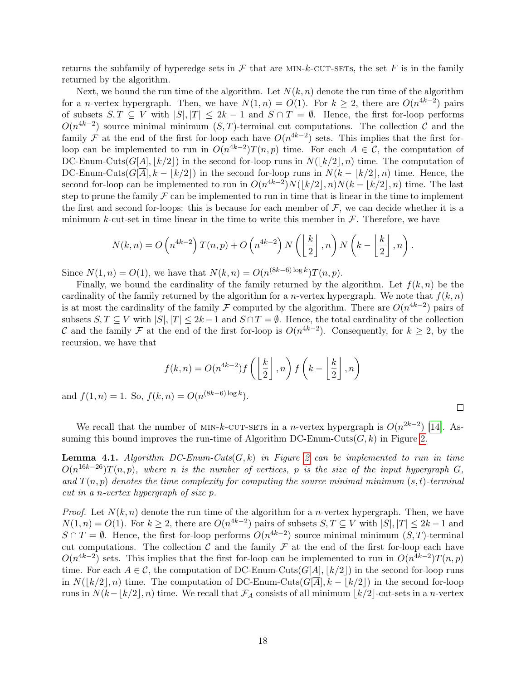returns the subfamily of hyperedge sets in  $\mathcal F$  that are MIN-k-CUT-SETs, the set F is in the family returned by the algorithm.

Next, we bound the run time of the algorithm. Let  $N(k, n)$  denote the run time of the algorithm for a *n*-vertex hypergraph. Then, we have  $N(1,n) = O(1)$ . For  $k \geq 2$ , there are  $O(n^{4k-2})$  pairs of subsets  $S, T \subseteq V$  with  $|S|, |T| \leq 2k - 1$  and  $S \cap T = \emptyset$ . Hence, the first for-loop performs  $O(n^{4k-2})$  source minimal minimum  $(S, T)$ -terminal cut computations. The collection C and the family F at the end of the first for-loop each have  $O(n^{4k-2})$  sets. This implies that the first forloop can be implemented to run in  $O(n^{4k-2})T(n,p)$  time. For each  $A \in \mathcal{C}$ , the computation of DC-Enum-Cuts(G[A],  $\lfloor k/2 \rfloor$ ) in the second for-loop runs in  $N(\lfloor k/2 \rfloor, n)$  time. The computation of DC-Enum-Cuts( $G[A], k - |k/2|$ ) in the second for-loop runs in  $N(k - |k/2|, n)$  time. Hence, the second for-loop can be implemented to run in  $O(n^{4k-2})N(|k/2|, n)N(k - |k/2|, n)$  time. The last step to prune the family  $\mathcal F$  can be implemented to run in time that is linear in the time to implement the first and second for-loops: this is because for each member of  $F$ , we can decide whether it is a minimum k-cut-set in time linear in the time to write this member in  $\mathcal F$ . Therefore, we have

$$
N(k,n) = O\left(n^{4k-2}\right)T(n,p) + O\left(n^{4k-2}\right)N\left(\left\lfloor\frac{k}{2}\right\rfloor, n\right)N\left(k - \left\lfloor\frac{k}{2}\right\rfloor, n\right).
$$

Since  $N(1, n) = O(1)$ , we have that  $N(k, n) = O(n^{(8k-6)\log k})T(n, p)$ .

Finally, we bound the cardinality of the family returned by the algorithm. Let  $f(k, n)$  be the cardinality of the family returned by the algorithm for a *n*-vertex hypergraph. We note that  $f(k, n)$ is at most the cardinality of the family F computed by the algorithm. There are  $O(n^{4k-2})$  pairs of subsets  $S, T \subseteq V$  with  $|S|, |T| \leq 2k - 1$  and  $S \cap T = \emptyset$ . Hence, the total cardinality of the collection C and the family F at the end of the first for-loop is  $O(n^{4k-2})$ . Consequently, for  $k \geq 2$ , by the recursion, we have that

$$
f(k,n) = O(n^{4k-2})f\left(\left\lfloor \frac{k}{2} \right\rfloor, n\right) f\left(k - \left\lfloor \frac{k}{2} \right\rfloor, n\right)
$$

and  $f(1, n) = 1$ . So,  $f(k, n) = O(n^{(8k-6)\log k})$ .

 $\Box$ 

We recall that the number of MIN-k-CUT-SETs in a n-vertex hypergraph is  $O(n^{2k-2})$  [\[14\]](#page-25-0). Assuming this bound improves the run-time of Algorithm DC-Enum-Cuts $(G, k)$  in Figure [2.](#page-17-0)

<span id="page-18-0"></span>**Lemma 4.1.** Algorithm DC-Enum-Cuts $(G, k)$  in Figure [2](#page-17-0) can be implemented to run in time  $O(n^{16k-26})T(n,p)$ , where n is the number of vertices, p is the size of the input hypergraph G, and  $T(n, p)$  denotes the time complexity for computing the source minimal minimum  $(s, t)$ -terminal cut in a n-vertex hypergraph of size p.

*Proof.* Let  $N(k, n)$  denote the run time of the algorithm for a *n*-vertex hypergraph. Then, we have  $N(1,n) = O(1)$ . For  $k \geq 2$ , there are  $O(n^{4k-2})$  pairs of subsets  $S, T \subseteq V$  with  $|S|, |T| \leq 2k-1$  and  $S \cap T = \emptyset$ . Hence, the first for-loop performs  $O(n^{4k-2})$  source minimal minimum  $(S, T)$ -terminal cut computations. The collection  $\mathcal C$  and the family  $\mathcal F$  at the end of the first for-loop each have  $O(n^{4k-2})$  sets. This implies that the first for-loop can be implemented to run in  $O(n^{4k-2})T(n,p)$ time. For each  $A \in \mathcal{C}$ , the computation of DC-Enum-Cuts(G[A],  $|k/2|$ ) in the second for-loop runs in  $N(|k/2|, n)$  time. The computation of DC-Enum-Cuts( $G[A], k - |k/2|$ ) in the second for-loop runs in  $N(k-\lfloor k/2\rfloor,n)$  time. We recall that  $\mathcal{F}_A$  consists of all minimum  $\lfloor k/2\rfloor$ -cut-sets in a n-vertex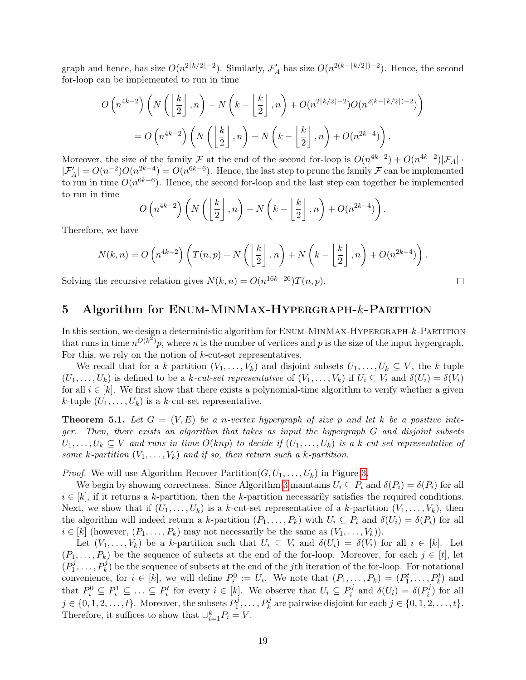graph and hence, has size  $O(n^{2\lfloor k/2\rfloor-2})$ . Similarly,  $\mathcal{F}_A'$  has size  $O(n^{2(k-\lfloor k/2\rfloor)-2})$ . Hence, the second for-loop can be implemented to run in time

$$
O\left(n^{4k-2}\right)\left(N\left(\left\lfloor\frac{k}{2}\right\rfloor,n\right)+N\left(k-\left\lfloor\frac{k}{2}\right\rfloor,n\right)+O(n^{2\lfloor k/2\rfloor-2})O(n^{2(k-\lfloor k/2\rfloor)-2})\right)
$$

$$
=O\left(n^{4k-2}\right)\left(N\left(\left\lfloor\frac{k}{2}\right\rfloor,n\right)+N\left(k-\left\lfloor\frac{k}{2}\right\rfloor,n\right)+O(n^{2k-4})\right).
$$

Moreover, the size of the family  $\mathcal F$  at the end of the second for-loop is  $O(n^{4k-2}) + O(n^{4k-2})|\mathcal F_A|$ .  $|\mathcal{F}'_A| = O(n^{-2})O(n^{2k-4}) = O(n^{6k-6})$ . Hence, the last step to prune the family  $\mathcal F$  can be implemented to run in time  $O(n^{6k-6})$ . Hence, the second for-loop and the last step can together be implemented to run in time

$$
O\left(n^{4k-2}\right)\left(N\left(\left\lfloor\frac{k}{2}\right\rfloor,n\right)+N\left(k-\left\lfloor\frac{k}{2}\right\rfloor,n\right)+O(n^{2k-4})\right).
$$

Therefore, we have

$$
N(k,n) = O\left(n^{4k-2}\right)\left(T(n,p) + N\left(\left\lfloor\frac{k}{2}\right\rfloor, n\right) + N\left(k - \left\lfloor\frac{k}{2}\right\rfloor, n\right) + O(n^{2k-4})\right).
$$

 $\Box$ 

Solving the recursive relation gives  $N(k, n) = O(n^{16k-26})T(n, p)$ .

### <span id="page-19-1"></span>5 Algorithm for ENUM-MINMAX-HYPERGRAPH-k-PARTITION

In this section, we design a deterministic algorithm for  $E_{NUM}$ - $M_{IN}$ MAX-HYPERGRAPH- $k$ -PARTITION that runs in time  $n^{O(k^2)}p$ , where n is the number of vertices and p is the size of the input hypergraph. For this, we rely on the notion of k-cut-set representatives.

We recall that for a k-partition  $(V_1, \ldots, V_k)$  and disjoint subsets  $U_1, \ldots, U_k \subseteq V$ , the k-tuple  $(U_1,\ldots,U_k)$  is defined to be a k-cut-set representative of  $(V_1,\ldots,V_k)$  if  $U_i \subseteq V_i$  and  $\delta(U_i) = \delta(V_i)$ for all  $i \in [k]$ . We first show that there exists a polynomial-time algorithm to verify whether a given k-tuple  $(U_1, \ldots, U_k)$  is a k-cut-set representative.

<span id="page-19-0"></span>**Theorem 5.1.** Let  $G = (V, E)$  be a n-vertex hypergraph of size p and let k be a positive integer. Then, there exists an algorithm that takes as input the hypergraph G and disjoint subsets  $U_1, \ldots, U_k \subseteq V$  and runs in time  $O(knp)$  to decide if  $(U_1, \ldots, U_k)$  is a k-cut-set representative of some k-partition  $(V_1, \ldots, V_k)$  and if so, then return such a k-partition.

*Proof.* We will use Algorithm Recover-Partition $(G, U_1, \ldots, U_k)$  in Figure [3.](#page-20-0)

We begin by showing correctness. Since Algorithm [3](#page-20-0) maintains  $U_i \subseteq P_i$  and  $\delta(P_i) = \delta(P_i)$  for all  $i \in [k]$ , if it returns a k-partition, then the k-partition necessarily satisfies the required conditions. Next, we show that if  $(U_1, \ldots, U_k)$  is a k-cut-set representative of a k-partition  $(V_1, \ldots, V_k)$ , then the algorithm will indeed return a k-partition  $(P_1, \ldots, P_k)$  with  $U_i \subseteq P_i$  and  $\delta(U_i) = \delta(P_i)$  for all  $i \in [k]$  (however,  $(P_1, \ldots, P_k)$  may not necessarily be the same as  $(V_1, \ldots, V_k)$ ).

Let  $(V_1,\ldots,V_k)$  be a k-partition such that  $U_i \subseteq V_i$  and  $\delta(U_i) = \delta(V_i)$  for all  $i \in [k]$ . Let  $(P_1, \ldots, P_k)$  be the sequence of subsets at the end of the for-loop. Moreover, for each  $j \in [t]$ , let  $\stackrel{\cdot }{P^j_1}$  $P_1^j, \ldots, P_k^j$  be the sequence of subsets at the end of the jth iteration of the for-loop. For notational convenience, for  $i \in [k]$ , we will define  $P_i^0 := U_i$ . We note that  $(P_1, \ldots, P_k) = (P_1^t, \ldots, P_k^t)$  and that  $P_i^0 \subseteq P_i^1 \subseteq \ldots \subseteq P_i^t$  for every  $i \in [k]$ . We observe that  $U_i \subseteq P_i^j$  $\delta^{j}_{i}$  and  $\delta(U_{i}) = \delta(P_{i}^{j})$  $i^j$ ) for all  $j \in \{0, 1, 2, \ldots, t\}$ . Moreover, the subsets  $P_1^j$  $P_k^j, \ldots, P_k^j$  are pairwise disjoint for each  $j \in \{0, 1, 2, \ldots, t\}.$ Therefore, it suffices to show that  $\bigcup_{i=1}^{k} P_i = V$ .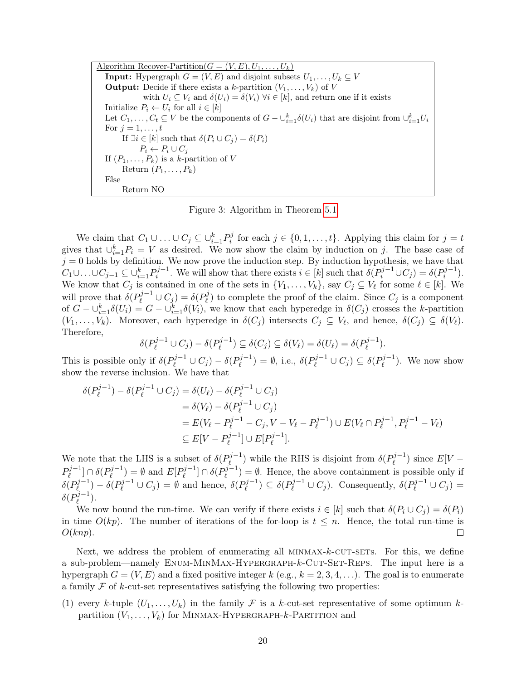<span id="page-20-0"></span>Algorithm Recover-Partition $(G = (V, E), U_1, \ldots, U_k)$ **Input:** Hypergraph  $G = (V, E)$  and disjoint subsets  $U_1, \ldots, U_k \subseteq V$ **Output:** Decide if there exists a k-partition  $(V_1, \ldots, V_k)$  of V with  $U_i \subseteq V_i$  and  $\delta(U_i) = \delta(V_i)$   $\forall i \in [k]$ , and return one if it exists Initialize  $P_i \leftarrow U_i$  for all  $i \in [k]$ Let  $C_1, \ldots, C_t \subseteq V$  be the components of  $G - \bigcup_{i=1}^k \delta(U_i)$  that are disjoint from  $\bigcup_{i=1}^k U_i$ For  $j=1,\ldots,t$ If  $\exists i \in [k]$  such that  $\delta(P_i \cup C_j) = \delta(P_i)$  $P_i \leftarrow P_i \cup C_j$ If  $(P_1, \ldots, P_k)$  is a k-partition of V Return  $(P_1, \ldots, P_k)$ Else Return NO

Figure 3: Algorithm in Theorem [5.1](#page-19-0)

We claim that  $C_1 \cup \ldots \cup C_j \subseteq \cup_{i=1}^k P_i^j$  $i_j$  for each  $j \in \{0, 1, \ldots, t\}$ . Applying this claim for  $j = t$ gives that  $\bigcup_{i=1}^k P_i = V$  as desired. We now show the claim by induction on j. The base case of  $j = 0$  holds by definition. We now prove the induction step. By induction hypothesis, we have that  $C_1 \cup \ldots \cup C_{j-1} \subseteq \cup_{i=1}^k P_i^{j-1}$  $i^{j-1}$ . We will show that there exists  $i \in [k]$  such that  $\delta(P_i^{j-1} \cup C_j) = \delta(P_i^{j-1})$  $i^{j-1}$ ). We know that  $C_j$  is contained in one of the sets in  $\{V_1, \ldots, V_k\}$ , say  $C_j \subseteq V_\ell$  for some  $\ell \in [k]$ . We will prove that  $\delta(P_{\ell}^{j-1} \cup C_j) = \delta(P_{\ell}^{j})$  $\mathcal{C}_{\ell}^{(j)}$  to complete the proof of the claim. Since  $C_j$  is a component of  $G - \bigcup_{i=1}^k \delta(U_i) = G - \bigcup_{i=1}^k \delta(V_i)$ , we know that each hyperedge in  $\delta(C_j)$  crosses the k-partition  $(V_1,\ldots,V_k)$ . Moreover, each hyperedge in  $\delta(C_j)$  intersects  $C_j \subseteq V_\ell$ , and hence,  $\delta(C_j) \subseteq \delta(V_\ell)$ . Therefore,

$$
\delta(P_{\ell}^{j-1} \cup C_j) - \delta(P_{\ell}^{j-1}) \subseteq \delta(C_j) \subseteq \delta(V_{\ell}) = \delta(U_{\ell}) = \delta(P_{\ell}^{j-1}).
$$

This is possible only if  $\delta(P_{\ell}^{j-1} \cup C_j) - \delta(P_{\ell}^{j-1})$  $(\ell^{j-1}) = \emptyset$ , i.e.,  $\delta(P_{\ell}^{j-1} \cup C_j) \subseteq \delta(P_{\ell}^{j-1})$  $\binom{p^{j-1}}{k}$ . We now show show the reverse inclusion. We have that

j−1

$$
\delta(P_{\ell}^{j-1}) - \delta(P_{\ell}^{j-1} \cup C_j) = \delta(U_{\ell}) - \delta(P_{\ell}^{j-1} \cup C_j)
$$
  
=  $\delta(V_{\ell}) - \delta(P_{\ell}^{j-1} \cup C_j)$   
=  $E(V_{\ell} - P_{\ell}^{j-1} - C_j, V - V_{\ell} - P_{\ell}^{j-1}) \cup E(V_{\ell} \cap P_{\ell}^{j-1}, P_{\ell}^{j-1} - V_{\ell})$   
 $\subseteq E[V - P_{\ell}^{j-1}] \cup E[P_{\ell}^{j-1}].$ 

We note that the LHS is a subset of  $\delta(P_{\ell}^{j-1})$  $\delta(\rho_{\ell}^{j-1})$  while the RHS is disjoint from  $\delta(P_{\ell}^{j-1})$  $\binom{p^{j-1}}{\ell}$  since  $E[V P_{\ell}^{j-1}$  $[\ell^{j-1}] \cap \delta(P_{\ell}^{j-1}]$  $(\ell^{j-1}) = \emptyset$  and  $E[P_{\ell}^{j-1}]$  $[\ell^{j-1}] \cap \delta(P_{\ell}^{j-1}]$  $(\ell^{j-1}) = \emptyset$ . Hence, the above containment is possible only if  $\delta({P}^{j-1}_\ell$  $\delta(\rho_{\ell}^{j-1}) - \delta(\rho_{\ell}^{j-1} \cup C_j) = \emptyset$  and hence,  $\delta(\rho_{\ell}^{j-1})$  $(\delta(\mathcal{P}_{\ell}^{j-1}) \subseteq \delta(\mathcal{P}_{\ell}^{j-1} \cup C_j)$ . Consequently,  $\delta(\mathcal{P}_{\ell}^{j-1} \cup C_j)$  $\delta({P}^{j-1}_\ell$  $\binom{3^{j-1}}{\ell}$ .

We now bound the run-time. We can verify if there exists  $i \in [k]$  such that  $\delta(P_i \cup C_j) = \delta(P_i)$ in time  $O(kp)$ . The number of iterations of the for-loop is  $t \leq n$ . Hence, the total run-time is  $O(knp)$ .  $\Box$ 

Next, we address the problem of enumerating all  $MINMAX-k-CUT-SETS$ . For this, we define a sub-problem—namely ENUM-MINMAX-HYPERGRAPH-k-CUT-SET-REPS. The input here is a hypergraph  $G = (V, E)$  and a fixed positive integer k (e.g.,  $k = 2, 3, 4, \ldots$ ). The goal is to enumerate a family  $\mathcal F$  of k-cut-set representatives satisfying the following two properties:

(1) every k-tuple  $(U_1, \ldots, U_k)$  in the family F is a k-cut-set representative of some optimum kpartition  $(V_1, \ldots, V_k)$  for MINMAX-HYPERGRAPH-k-PARTITION and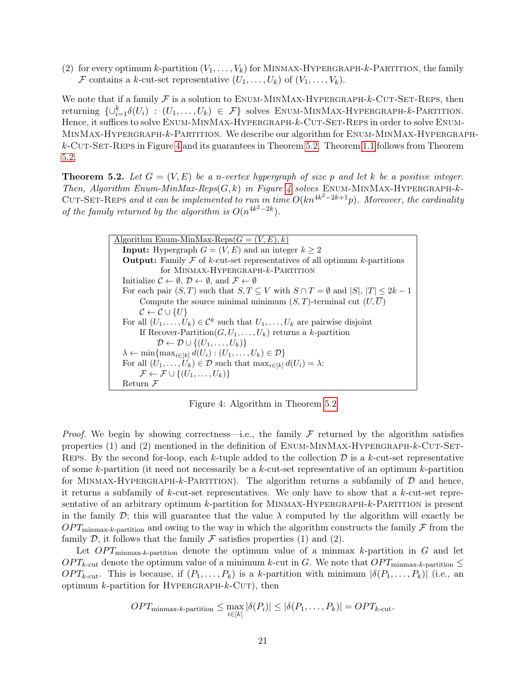(2) for every optimum k-partition  $(V_1, \ldots, V_k)$  for MINMAX-HYPERGRAPH-k-PARTITION, the family F contains a k-cut-set representative  $(U_1, \ldots, U_k)$  of  $(V_1, \ldots, V_k)$ .

We note that if a family  $\mathcal F$  is a solution to ENUM-MINMAX-HYPERGRAPH- $k$ -CUT-SET-REPS, then returning  $\{\cup_{i=1}^k \delta(U_i) : (U_1,\ldots,U_k) \in \mathcal{F}\}\$  solves ENUM-MINMAX-HYPERGRAPH-k-PARTITION. Hence, it suffices to solve ENUM-MINMAX-HYPERGRAPH- $k$ -CUT-SET-REPS in order to solve ENUM-MinMax-Hypergraph-k-Partition. We describe our algorithm for Enum-MinMax-Hypergraph $k$ -Cut-Set-Reps in Figure [4](#page-21-0) and its guarantees in Theorem [5.2.](#page-21-1) Theorem [1.1](#page-3-0) follows from Theorem [5.2.](#page-21-1)

<span id="page-21-1"></span>**Theorem 5.2.** Let  $G = (V, E)$  be a n-vertex hypergraph of size p and let k be a positive integer. Then, Algorithm Enum-MinMax-Reps $(G, k)$  in Figure [4](#page-21-0) solves ENUM-MINMAX-HYPERGRAPH-k-CUT-SET-REPS and it can be implemented to run in time  $O(kn^{4k^2-2k+1}p)$ . Moreover, the cardinality of the family returned by the algorithm is  $O(n^{4k^2-2k})$ .

> <span id="page-21-0"></span>Algorithm Enum-MinMax-Reps $(G = (V, E), k)$ **Input:** Hypergraph  $G = (V, E)$  and an integer  $k \geq 2$ **Output:** Family  $\mathcal F$  of k-cut-set representatives of all optimum k-partitions for Minmax-Hypergraph-k-Partition Initialize  $\mathcal{C} \leftarrow \emptyset$ ,  $\mathcal{D} \leftarrow \emptyset$ , and  $\mathcal{F} \leftarrow \emptyset$ For each pair  $(S, T)$  such that  $S, T \subseteq V$  with  $S \cap T = \emptyset$  and  $|S|, |T| \leq 2k - 1$ Compute the source minimal minimum  $(S, T)$ -terminal cut  $(U, \overline{U})$  $\mathcal{C} \leftarrow \mathcal{C} \cup \{U\}$ For all  $(U_1, \ldots, U_k) \in \mathcal{C}^k$  such that  $U_1, \ldots, U_k$  are pairwise disjoint If Recover-Partition $(G, U_1, \ldots, U_k)$  returns a k-partition  $\mathcal{D} \leftarrow \mathcal{D} \cup \{(U_1, \ldots, U_k)\}\$  $\lambda \leftarrow \min\{\max_{i\in[k]} d(U_i) : (U_1,\ldots,U_k) \in \mathcal{D}\}\$ For all  $(U_1, \ldots, U_k) \in \mathcal{D}$  such that  $\max_{i \in [k]} d(U_i) = \lambda$ :  $\mathcal{F} \leftarrow \mathcal{F} \cup \{(U_1, \ldots, U_k)\}\$ Return ${\mathcal F}$

Figure 4: Algorithm in Theorem [5.2](#page-21-1)

*Proof.* We begin by showing correctness—i.e., the family  $\mathcal F$  returned by the algorithm satisfies properties (1) and (2) mentioned in the definition of  $E_{\text{NUM-MINMAX-HYPERGRAPH-}k-CUT-SET-}$ REPS. By the second for-loop, each k-tuple added to the collection  $\mathcal D$  is a k-cut-set representative of some k-partition (it need not necessarily be a k-cut-set representative of an optimum k-partition for MINMAX-HYPERGRAPH-k-PARTITION). The algorithm returns a subfamily of  $D$  and hence, it returns a subfamily of  $k$ -cut-set representatives. We only have to show that a  $k$ -cut-set representative of an arbitrary optimum k-partition for MINMAX-HYPERGRAPH-k-PARTITION is present in the family  $\mathcal{D}$ ; this will guarantee that the value  $\lambda$  computed by the algorithm will exactly be  $OPT_{\text{minmax-}k\text{-partition}}$  and owing to the way in which the algorithm constructs the family F from the family  $D$ , it follows that the family  $\mathcal F$  satisfies properties (1) and (2).

Let  $OPT_{\text{minmax-}k\text{-partition}}$  denote the optimum value of a minmax k-partition in G and let  $OPT_{k\text{-cut}}$  denote the optimum value of a minimum k-cut in G. We note that  $OPT_{\text{minmax-}k\text{-partition}} \leq$  $OPT_{k\text{-cut}}$ . This is because, if  $(P_1,\ldots,P_k)$  is a k-partition with minimum  $|\delta(P_1,\ldots,P_k)|$  (i.e., an optimum  $k$ -partition for HYPERGRAPH- $k$ -CUT), then

$$
OPT_{\text{minmax-}k\text{-partition}} \le \max_{i \in [k]} |\delta(P_i)| \le |\delta(P_1,\ldots,P_k)| = OPT_{k\text{-cut}}.
$$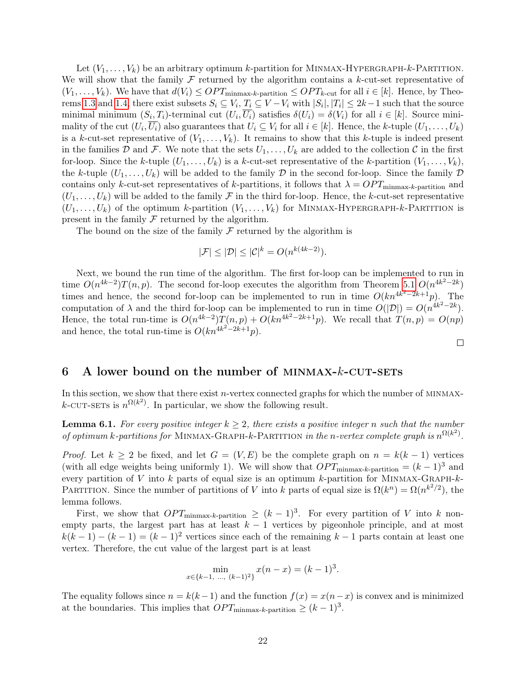Let  $(V_1, \ldots, V_k)$  be an arbitrary optimum k-partition for MINMAX-HYPERGRAPH-k-PARTITION. We will show that the family  $\mathcal F$  returned by the algorithm contains a k-cut-set representative of  $(V_1,\ldots,V_k)$ . We have that  $d(V_i) \leq OPT_{\text{minmax-}k\text{-partition}} \leq OPT_{k\text{-cut}}$  for all  $i \in [k]$ . Hence, by Theo-rems [1.3](#page-5-1) and [1.4,](#page-5-0) there exist subsets  $S_i \subseteq V_i$ ,  $T_i \subseteq V - V_i$  with  $|S_i|, |T_i| \leq 2k-1$  such that the source minimal minimum  $(S_i, T_i)$ -terminal cut  $(U_i, \overline{U_i})$  satisfies  $\delta(U_i) = \delta(V_i)$  for all  $i \in [k]$ . Source minimality of the cut  $(U_i, \overline{U_i})$  also guarantees that  $U_i \subseteq V_i$  for all  $i \in [k]$ . Hence, the k-tuple  $(U_1, \ldots, U_k)$ is a k-cut-set representative of  $(V_1, \ldots, V_k)$ . It remains to show that this k-tuple is indeed present in the families D and F. We note that the sets  $U_1, \ldots, U_k$  are added to the collection C in the first for-loop. Since the k-tuple  $(U_1, \ldots, U_k)$  is a k-cut-set representative of the k-partition  $(V_1, \ldots, V_k)$ , the k-tuple  $(U_1, \ldots, U_k)$  will be added to the family D in the second for-loop. Since the family D contains only k-cut-set representatives of k-partitions, it follows that  $\lambda = OPT_{\text{minmax-}k\text{-partition}}$  and  $(U_1, \ldots, U_k)$  will be added to the family  $\mathcal F$  in the third for-loop. Hence, the k-cut-set representative  $(U_1, \ldots, U_k)$  of the optimum k-partition  $(V_1, \ldots, V_k)$  for MINMAX-HYPERGRAPH-k-PARTITION is present in the family  $\mathcal F$  returned by the algorithm.

The bound on the size of the family  $\mathcal F$  returned by the algorithm is

$$
|\mathcal{F}| \le |\mathcal{D}| \le |\mathcal{C}|^k = O(n^{k(4k-2)}).
$$

Next, we bound the run time of the algorithm. The first for-loop can be implemented to run in time  $O(n^{4k-2})T(n, p)$ . The second for-loop executes the algorithm from Theorem [5.1](#page-19-0)  $O(n^{4k^2-2k})$ times and hence, the second for-loop can be implemented to run in time  $O(kn^{4k^2-2k+1}p)$ . The computation of  $\lambda$  and the third for-loop can be implemented to run in time  $O(|\mathcal{D}|) = O(n^{4k^2-2k})$ . Hence, the total run-time is  $O(n^{4k-2})T(n,p) + O(kn^{4k^2-2k+1}p)$ . We recall that  $T(n,p) = O(np)$ and hence, the total run-time is  $O(kn^{4k^2-2k+1}p)$ .

 $\Box$ 

### <span id="page-22-0"></span>6 A lower bound on the number of MINMAX- $k$ -CUT-SETS

In this section, we show that there exist  $n$ -vertex connected graphs for which the number of MINMAXk-CUT-SETS is  $n^{\Omega(k^2)}$ . In particular, we show the following result.

**Lemma 6.1.** For every positive integer  $k \geq 2$ , there exists a positive integer n such that the number of optimum k-partitions for MINMAX-GRAPH-k-PARTITION in the n-vertex complete graph is  $n^{\Omega(k^2)}$ .

*Proof.* Let  $k \geq 2$  be fixed, and let  $G = (V, E)$  be the complete graph on  $n = k(k-1)$  vertices (with all edge weights being uniformly 1). We will show that  $OPT_{\text{minmax-}k\text{-partition}} = (k-1)^3$  and every partition of V into  $k$  parts of equal size is an optimum  $k$ -partition for MINMAX-GRAPH- $k$ -PARTITION. Since the number of partitions of V into k parts of equal size is  $\Omega(k^n) = \Omega(n^{k^2/2})$ , the lemma follows.

First, we show that  $OPT_{\text{minmax-}k\text{-partition}} \geq (k-1)^3$ . For every partition of V into k nonempty parts, the largest part has at least  $k - 1$  vertices by pigeonhole principle, and at most  $k(k-1) - (k-1) = (k-1)^2$  vertices since each of the remaining  $k-1$  parts contain at least one vertex. Therefore, the cut value of the largest part is at least

$$
\min_{x \in \{k-1, \dots, (k-1)^2\}} x(n-x) = (k-1)^3.
$$

The equality follows since  $n = k(k-1)$  and the function  $f(x) = x(n-x)$  is convex and is minimized at the boundaries. This implies that  $OPT_{\text{minmax-}k\text{-partition}} \geq (k-1)^3$ .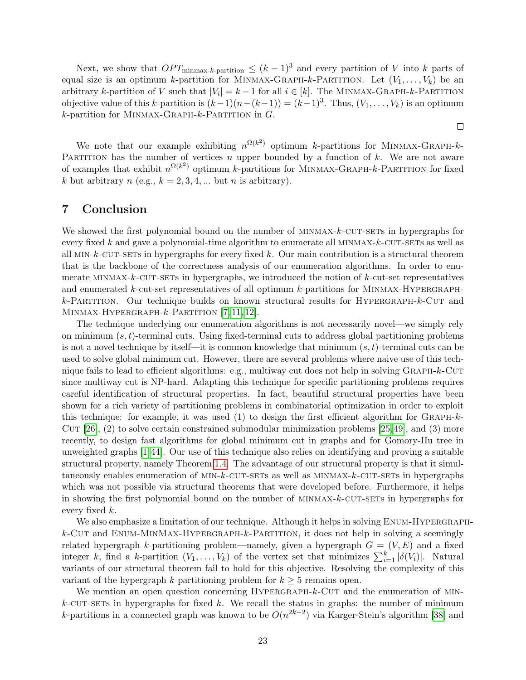Next, we show that  $OPT_{\text{minmax-}k\text{-partition}} \leq (k-1)^3$  and every partition of V into k parts of equal size is an optimum k-partition for MINMAX-GRAPH-k-PARTITION. Let  $(V_1, \ldots, V_k)$  be an arbitrary k-partition of V such that  $|V_i| = k - 1$  for all  $i \in [k]$ . The MINMAX-GRAPH-k-PARTITION objective value of this k-partition is  $(k-1)(n-(k-1)) = (k-1)^3$ . Thus,  $(V_1, \ldots, V_k)$  is an optimum  $k$ -partition for MINMAX-GRAPH- $k$ -PARTITION in  $G$ .

 $\Box$ 

We note that our example exhibiting  $n^{\Omega(k^2)}$  optimum k-partitions for MINMAX-GRAPH-k-PARTITION has the number of vertices n upper bounded by a function of k. We are not aware of examples that exhibit  $n^{\Omega(k^2)}$  optimum k-partitions for MINMAX-GRAPH-k-PARTITION for fixed k but arbitrary  $n$  (e.g.,  $k = 2, 3, 4, ...$  but  $n$  is arbitrary).

# <span id="page-23-0"></span>7 Conclusion

We showed the first polynomial bound on the number of MINMAX-k-CUT-SETs in hypergraphs for every fixed k and gave a polynomial-time algorithm to enumerate all  $MINMAX-k-CUT-SETS$  as well as all  $MIN-k-CUT-SETs$  in hypergraphs for every fixed k. Our main contribution is a structural theorem that is the backbone of the correctness analysis of our enumeration algorithms. In order to enumerate MINMAX- $k$ -CUT-SETs in hypergraphs, we introduced the notion of  $k$ -cut-set representatives and enumerated  $k$ -cut-set representatives of all optimum  $k$ -partitions for MINMAX-HYPERGRAPH $k$ -Partition. Our technique builds on known structural results for HYPERGRAPH- $k$ -CUT and MINMAX-HYPERGRAPH- $k$ -Partition [\[7,](#page-24-1) [11,](#page-24-2) [12\]](#page-24-3).

The technique underlying our enumeration algorithms is not necessarily novel—we simply rely on minimum  $(s, t)$ -terminal cuts. Using fixed-terminal cuts to address global partitioning problems is not a novel technique by itself—it is common knowledge that minimum  $(s, t)$ -terminal cuts can be used to solve global minimum cut. However, there are several problems where naive use of this technique fails to lead to efficient algorithms: e.g., multiway cut does not help in solving GRAPH-k-CUT since multiway cut is NP-hard. Adapting this technique for specific partitioning problems requires careful identification of structural properties. In fact, beautiful structural properties have been shown for a rich variety of partitioning problems in combinatorial optimization in order to exploit this technique: for example, it was used  $(1)$  to design the first efficient algorithm for GRAPH- $k$ -CUT  $[26]$ ,  $(2)$  to solve certain constrained submodular minimization problems  $[25,49]$  $[25,49]$ , and  $(3)$  more recently, to design fast algorithms for global minimum cut in graphs and for Gomory-Hu tree in unweighted graphs [\[1,](#page-24-9)[44\]](#page-26-8). Our use of this technique also relies on identifying and proving a suitable structural property, namely Theorem [1.4.](#page-5-0) The advantage of our structural property is that it simultaneously enables enumeration of MIN- $k$ -CUT-SETs as well as MINMAX- $k$ -CUT-SETs in hypergraphs which was not possible via structural theorems that were developed before. Furthermore, it helps in showing the first polynomial bound on the number of MINMAX-k-CUT-SETs in hypergraphs for every fixed k.

We also emphasize a limitation of our technique. Although it helps in solving ENUM-HYPERGRAPH $k$ -Cut and ENUM-MINMAX-HYPERGRAPH- $k$ -PARTITION, it does not help in solving a seemingly related hypergraph k-partitioning problem—namely, given a hypergraph  $G = (V, E)$  and a fixed integer k, find a k-partition  $(V_1, \ldots, V_k)$  of the vertex set that minimizes  $\sum_{i=1}^k |\delta(V_i)|$ . Natural variants of our structural theorem fail to hold for this objective. Resolving the complexity of this variant of the hypergraph k-partitioning problem for  $k \geq 5$  remains open.

We mention an open question concerning  $HYPERGRAPH-k-CUT$  and the enumeration of MIN $k$ -CUT-SETs in hypergraphs for fixed k. We recall the status in graphs: the number of minimum k-partitions in a connected graph was known to be  $O(n^{2k-2})$  via Karger-Stein's algorithm [\[38\]](#page-26-7) and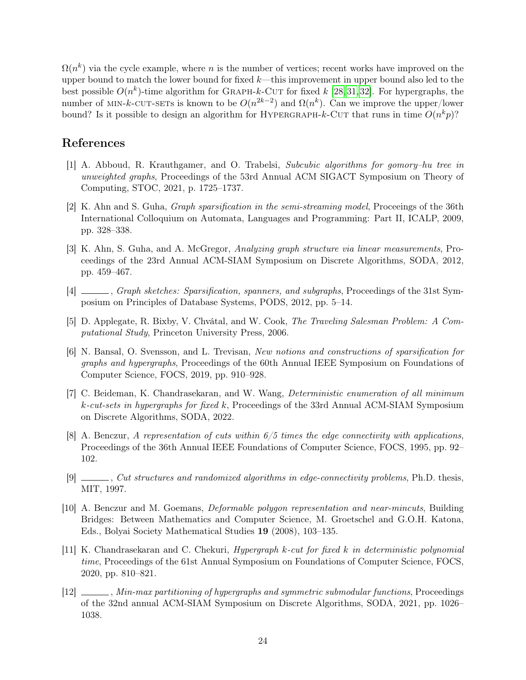$\Omega(n^k)$  via the cycle example, where n is the number of vertices; recent works have improved on the upper bound to match the lower bound for fixed  $k$ —this improvement in upper bound also led to the best possible  $O(n^k)$ -time algorithm for GRAPH-k-CUT for fixed k [\[28,](#page-25-7)[31,](#page-26-5)[32\]](#page-26-6). For hypergraphs, the number of MIN-k-CUT-SETs is known to be  $O(n^{2k-2})$  and  $\Omega(n^k)$ . Can we improve the upper/lower bound? Is it possible to design an algorithm for HYPERGRAPH-k-CUT that runs in time  $O(n^k p)$ ?

# References

- <span id="page-24-9"></span>[1] A. Abboud, R. Krauthgamer, and O. Trabelsi, Subcubic algorithms for gomory–hu tree in unweighted graphs, Proceedings of the 53rd Annual ACM SIGACT Symposium on Theory of Computing, STOC, 2021, p. 1725–1737.
- <span id="page-24-4"></span>[2] K. Ahn and S. Guha, Graph sparsification in the semi-streaming model, Proceeings of the 36th International Colloquium on Automata, Languages and Programming: Part II, ICALP, 2009, pp. 328–338.
- [3] K. Ahn, S. Guha, and A. McGregor, Analyzing graph structure via linear measurements, Proceedings of the 23rd Annual ACM-SIAM Symposium on Discrete Algorithms, SODA, 2012, pp. 459–467.
- <span id="page-24-5"></span>[4] , Graph sketches: Sparsification, spanners, and subgraphs, Proceedings of the 31st Symposium on Principles of Database Systems, PODS, 2012, pp. 5–14.
- <span id="page-24-8"></span>[5] D. Applegate, R. Bixby, V. Chvátal, and W. Cook, The Traveling Salesman Problem: A Computational Study, Princeton University Press, 2006.
- <span id="page-24-0"></span>[6] N. Bansal, O. Svensson, and L. Trevisan, New notions and constructions of sparsification for graphs and hypergraphs, Proceedings of the 60th Annual IEEE Symposium on Foundations of Computer Science, FOCS, 2019, pp. 910–928.
- <span id="page-24-1"></span>[7] C. Beideman, K. Chandrasekaran, and W. Wang, Deterministic enumeration of all minimum k-cut-sets in hypergraphs for fixed k, Proceedings of the 33rd Annual ACM-SIAM Symposium on Discrete Algorithms, SODA, 2022.
- <span id="page-24-6"></span>[8] A. Benczur, A representation of cuts within  $6/5$  times the edge connectivity with applications, Proceedings of the 36th Annual IEEE Foundations of Computer Science, FOCS, 1995, pp. 92– 102.
- [9]  $\_\_\_\_\_$ , Cut structures and randomized algorithms in edge-connectivity problems, Ph.D. thesis, MIT, 1997.
- <span id="page-24-7"></span>[10] A. Benczur and M. Goemans, Deformable polygon representation and near-mincuts, Building Bridges: Between Mathematics and Computer Science, M. Groetschel and G.O.H. Katona, Eds., Bolyai Society Mathematical Studies 19 (2008), 103–135.
- <span id="page-24-2"></span>[11] K. Chandrasekaran and C. Chekuri, Hypergraph k-cut for fixed k in deterministic polynomial time, Proceedings of the 61st Annual Symposium on Foundations of Computer Science, FOCS, 2020, pp. 810–821.
- <span id="page-24-3"></span>[12] , Min-max partitioning of hypergraphs and symmetric submodular functions, Proceedings of the 32nd annual ACM-SIAM Symposium on Discrete Algorithms, SODA, 2021, pp. 1026– 1038.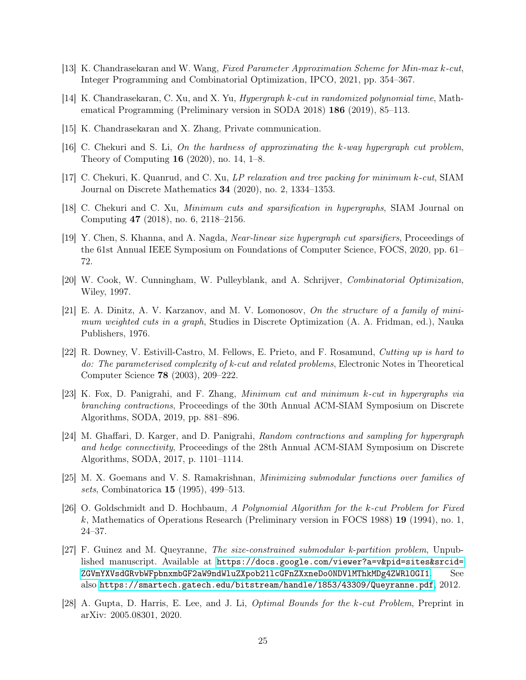- <span id="page-25-8"></span>[13] K. Chandrasekaran and W. Wang, Fixed Parameter Approximation Scheme for Min-max k-cut, Integer Programming and Combinatorial Optimization, IPCO, 2021, pp. 354–367.
- <span id="page-25-0"></span>[14] K. Chandrasekaran, C. Xu, and X. Yu, Hypergraph k-cut in randomized polynomial time, Mathematical Programming (Preliminary version in SODA 2018) 186 (2019), 85–113.
- <span id="page-25-15"></span>[15] K. Chandrasekaran and X. Zhang, Private communication.
- <span id="page-25-14"></span>[16] C. Chekuri and S. Li, On the hardness of approximating the k-way hypergraph cut problem, Theory of Computing 16 (2020), no. 14, 1–8.
- <span id="page-25-9"></span>[17] C. Chekuri, K. Quanrud, and C. Xu, LP relaxation and tree packing for minimum k-cut, SIAM Journal on Discrete Mathematics 34 (2020), no. 2, 1334–1353.
- <span id="page-25-1"></span>[18] C. Chekuri and C. Xu, Minimum cuts and sparsification in hypergraphs, SIAM Journal on Computing 47 (2018), no. 6, 2118–2156.
- <span id="page-25-2"></span>[19] Y. Chen, S. Khanna, and A. Nagda, Near-linear size hypergraph cut sparsifiers, Proceedings of the 61st Annual IEEE Symposium on Foundations of Computer Science, FOCS, 2020, pp. 61– 72.
- <span id="page-25-6"></span>[20] W. Cook, W. Cunningham, W. Pulleyblank, and A. Schrijver, Combinatorial Optimization, Wiley, 1997.
- <span id="page-25-12"></span>[21] E. A. Dinitz, A. V. Karzanov, and M. V. Lomonosov, On the structure of a family of minimum weighted cuts in a graph, Studies in Discrete Optimization (A. A. Fridman, ed.), Nauka Publishers, 1976.
- <span id="page-25-13"></span>[22] R. Downey, V. Estivill-Castro, M. Fellows, E. Prieto, and F. Rosamund, Cutting up is hard to do: The parameterised complexity of k-cut and related problems, Electronic Notes in Theoretical Computer Science 78 (2003), 209–222.
- <span id="page-25-3"></span>[23] K. Fox, D. Panigrahi, and F. Zhang, Minimum cut and minimum k-cut in hypergraphs via branching contractions, Proceedings of the 30th Annual ACM-SIAM Symposium on Discrete Algorithms, SODA, 2019, pp. 881–896.
- <span id="page-25-4"></span>[24] M. Ghaffari, D. Karger, and D. Panigrahi, Random contractions and sampling for hypergraph and hedge connectivity, Proceedings of the 28th Annual ACM-SIAM Symposium on Discrete Algorithms, SODA, 2017, p. 1101–1114.
- <span id="page-25-11"></span>[25] M. X. Goemans and V. S. Ramakrishnan, Minimizing submodular functions over families of sets, Combinatorica 15 (1995), 499–513.
- <span id="page-25-10"></span>[26] O. Goldschmidt and D. Hochbaum, A Polynomial Algorithm for the k-cut Problem for Fixed k, Mathematics of Operations Research (Preliminary version in FOCS 1988) 19 (1994), no. 1, 24–37.
- <span id="page-25-5"></span>[27] F. Guinez and M. Queyranne, The size-constrained submodular k-partition problem, Unpublished manuscript. Available at [https://docs.google.com/viewer?a=v&pid=sites&srcid=](https://docs.google.com/viewer?a=v&pid=sites&srcid=ZGVmYXVsdGRvbWFpbnxmbGF2aW9ndWluZXpob21lcGFnZXxneDo0NDVlMThkMDg4ZWRlOGI1) ZGVmYXVsdGRvbWFpbnxmbGF2aW9ndWluZXpob211cGFnZXxneDoONDV1MThkMDg4ZWR10GI1. See also <https://smartech.gatech.edu/bitstream/handle/1853/43309/Queyranne.pdf>, 2012.
- <span id="page-25-7"></span>[28] A. Gupta, D. Harris, E. Lee, and J. Li, Optimal Bounds for the k-cut Problem, Preprint in arXiv: 2005.08301, 2020.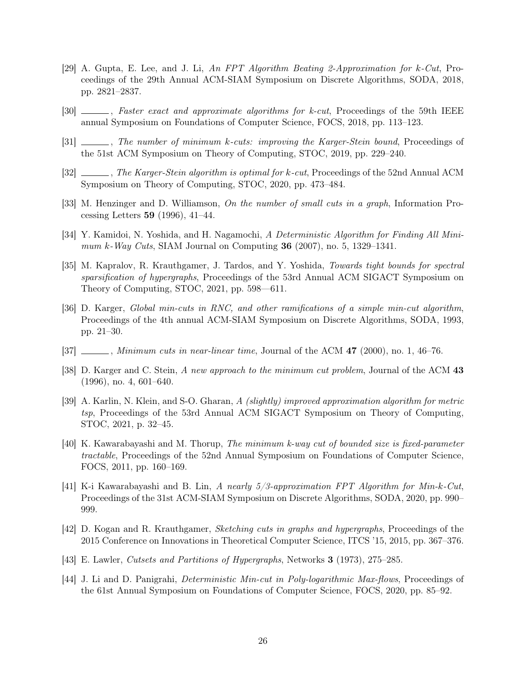- <span id="page-26-12"></span>[29] A. Gupta, E. Lee, and J. Li, An FPT Algorithm Beating 2-Approximation for k-Cut, Proceedings of the 29th Annual ACM-SIAM Symposium on Discrete Algorithms, SODA, 2018, pp. 2821–2837.
- <span id="page-26-11"></span>[30]  $\_\_\_\_\$ , Faster exact and approximate algorithms for k-cut, Proceedings of the 59th IEEE annual Symposium on Foundations of Computer Science, FOCS, 2018, pp. 113–123.
- <span id="page-26-5"></span>[31]  $\ldots$ , The number of minimum k-cuts: improving the Karger-Stein bound, Proceedings of the 51st ACM Symposium on Theory of Computing, STOC, 2019, pp. 229–240.
- <span id="page-26-6"></span>[32]  $\ldots$ , The Karger-Stein algorithm is optimal for k-cut, Proceedings of the 52nd Annual ACM Symposium on Theory of Computing, STOC, 2020, pp. 473–484.
- <span id="page-26-9"></span>[33] M. Henzinger and D. Williamson, On the number of small cuts in a graph, Information Processing Letters 59 (1996), 41–44.
- <span id="page-26-15"></span>[34] Y. Kamidoi, N. Yoshida, and H. Nagamochi, A Deterministic Algorithm for Finding All Minimum k-Way Cuts, SIAM Journal on Computing 36 (2007), no. 5, 1329–1341.
- <span id="page-26-1"></span>[35] M. Kapralov, R. Krauthgamer, J. Tardos, and Y. Yoshida, Towards tight bounds for spectral sparsification of hypergraphs, Proceedings of the 53rd Annual ACM SIGACT Symposium on Theory of Computing, STOC, 2021, pp. 598–611.
- <span id="page-26-10"></span>[36] D. Karger, Global min-cuts in RNC, and other ramifications of a simple min-cut algorithm, Proceedings of the 4th annual ACM-SIAM Symposium on Discrete Algorithms, SODA, 1993, pp. 21–30.
- <span id="page-26-3"></span>[37]  $\ldots$ , Minimum cuts in near-linear time, Journal of the ACM 47 (2000), no. 1, 46–76.
- <span id="page-26-7"></span>[38] D. Karger and C. Stein, A new approach to the minimum cut problem, Journal of the ACM 43 (1996), no. 4, 601–640.
- <span id="page-26-4"></span>[39] A. Karlin, N. Klein, and S-O. Gharan, A (slightly) improved approximation algorithm for metric tsp, Proceedings of the 53rd Annual ACM SIGACT Symposium on Theory of Computing, STOC, 2021, p. 32–45.
- <span id="page-26-14"></span>[40] K. Kawarabayashi and M. Thorup, The minimum k-way cut of bounded size is fixed-parameter tractable, Proceedings of the 52nd Annual Symposium on Foundations of Computer Science, FOCS, 2011, pp. 160–169.
- <span id="page-26-13"></span>[41] K-i Kawarabayashi and B. Lin, A nearly 5/3-approximation FPT Algorithm for Min-k-Cut, Proceedings of the 31st ACM-SIAM Symposium on Discrete Algorithms, SODA, 2020, pp. 990– 999.
- <span id="page-26-2"></span>[42] D. Kogan and R. Krauthgamer, Sketching cuts in graphs and hypergraphs, Proceedings of the 2015 Conference on Innovations in Theoretical Computer Science, ITCS '15, 2015, pp. 367–376.
- <span id="page-26-0"></span>[43] E. Lawler, Cutsets and Partitions of Hypergraphs, Networks 3 (1973), 275–285.
- <span id="page-26-8"></span>[44] J. Li and D. Panigrahi, Deterministic Min-cut in Poly-logarithmic Max-flows, Proceedings of the 61st Annual Symposium on Foundations of Computer Science, FOCS, 2020, pp. 85–92.